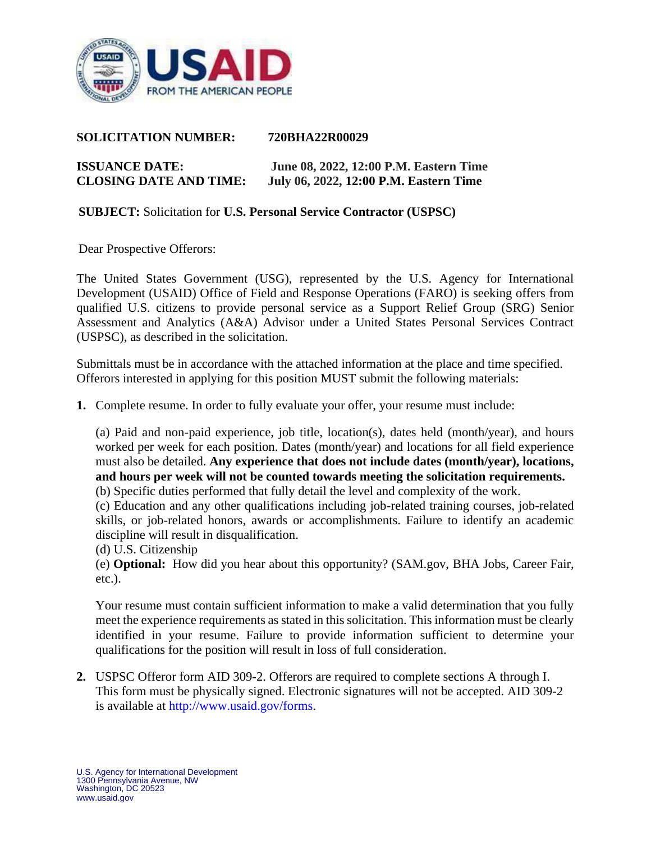

#### **SOLICITATION NUMBER: 720BHA22R00029**

# **ISSUANCE DATE: June 08, 2022, 12:00 P.M. Eastern Time CLOSING DATE AND TIME: July 06, 2022, 12:00 P.M. Eastern Time**

#### **SUBJECT:** Solicitation for **U.S. Personal Service Contractor (USPSC)**

Dear Prospective Offerors:

The United States Government (USG), represented by the U.S. Agency for International Development (USAID) Office of Field and Response Operations (FARO) is seeking offers from qualified U.S. citizens to provide personal service as a Support Relief Group (SRG) Senior Assessment and Analytics (A&A) Advisor under a United States Personal Services Contract (USPSC), as described in the solicitation.

Submittals must be in accordance with the attached information at the place and time specified. Offerors interested in applying for this position MUST submit the following materials:

**1.** Complete resume. In order to fully evaluate your offer, your resume must include:

(a) Paid and non-paid experience, job title, location(s), dates held (month/year), and hours worked per week for each position. Dates (month/year) and locations for all field experience must also be detailed. **Any experience that does not include dates (month/year), locations, and hours per week will not be counted towards meeting the solicitation requirements.**

(b) Specific duties performed that fully detail the level and complexity of the work.

(c) Education and any other qualifications including job-related training courses, job-related skills, or job-related honors, awards or accomplishments. Failure to identify an academic discipline will result in disqualification.

(d) U.S. Citizenship

(e) **Optional:** How did you hear about this opportunity? (SAM.gov, BHA Jobs, Career Fair, etc.).

Your resume must contain sufficient information to make a valid determination that you fully meet the experience requirements as stated in this solicitation. This information must be clearly identified in your resume. Failure to provide information sufficient to determine your qualifications for the position will result in loss of full consideration.

**2.** USPSC Offeror form AID 309-2. Offerors are required to complete sections A through I. This form must be physically signed. Electronic signatures will not be accepted. AID 309-2 is available at http://www.usaid.gov/forms.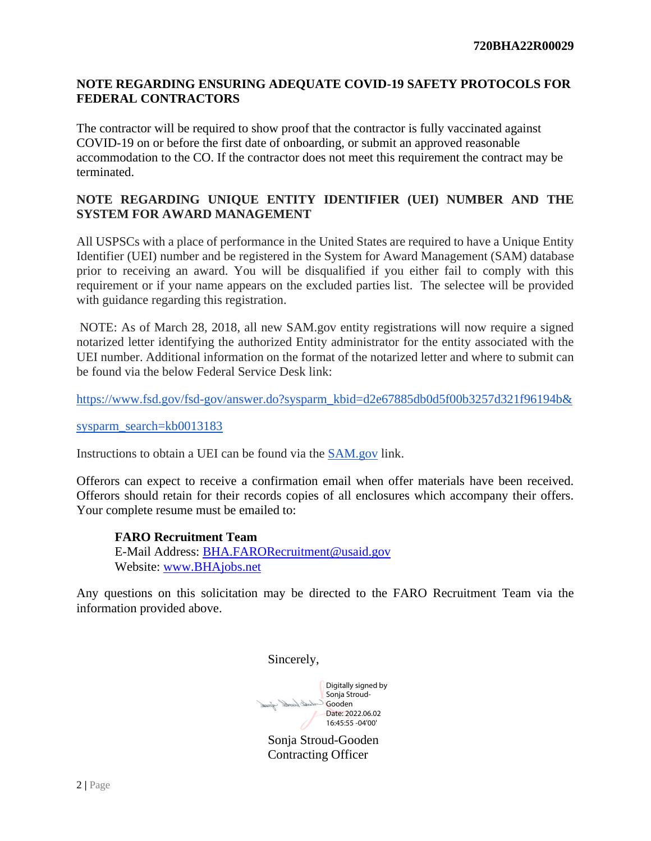### **NOTE REGARDING ENSURING ADEQUATE COVID-19 SAFETY PROTOCOLS FOR FEDERAL CONTRACTORS**

The contractor will be required to show proof that the contractor is fully vaccinated against COVID-19 on or before the first date of onboarding, or submit an approved reasonable accommodation to the CO. If the contractor does not meet this requirement the contract may be terminated.

### **NOTE REGARDING UNIQUE ENTITY IDENTIFIER (UEI) NUMBER AND THE SYSTEM FOR AWARD MANAGEMENT**

All USPSCs with a place of performance in the United States are required to have a Unique Entity Identifier (UEI) number and be registered in the System for Award Management (SAM) database prior to receiving an award. You will be disqualified if you either fail to comply with this requirement or if your name appears on the excluded parties list. The selectee will be provided with guidance regarding this registration.

NOTE: As of March 28, 2018, all new SAM.gov entity registrations will now require a signed notarized letter identifying the authorized Entity administrator for the entity associated with the UEI number. Additional information on the format of the notarized letter and where to submit can be found via the below Federal Service Desk link:

[https://www.fsd.gov/fsd-gov/answer.do?sysparm\\_kbid=d2e67885db0d5f00b3257d321f96194b&](https://www.fsd.gov/fsd-gov/answer.do?sysparm_kbid=d2e67885db0d5f00b3257d321f96194b&)

[sysparm\\_search=kb0013183](https://www.fsd.gov/fsd-gov/answer.do?sysparm_kbid=d2e67885db0d5f00b3257d321f96194b&)

Instructions to obtain a UEI can be found via th[e](https://www.fsd.gov/gsafsd_sp?id=kb_article_view&sysparm_article=KB0050039&sys_kb_id=52b5053e1bee8d54937fa64ce54bcbb3&spa=1) [SAM.gov](https://www.fsd.gov/gsafsd_sp?id=kb_article_view&sysparm_article=KB0050039&sys_kb_id=52b5053e1bee8d54937fa64ce54bcbb3&spa=1) link.

Offerors can expect to receive a confirmation email when offer materials have been received. Offerors should retain for their records copies of all enclosures which accompany their offers. Your complete resume must be emailed to:

**FARO Recruitment Team** E-Mail Address: [BHA.FARORecruitment@usaid.gov](mailto:BHA.FARORecruitment@usaid.gov) Website: [www.BHAjobs.net](http://www.bhajobs.net/)

Any questions on this solicitation may be directed to the FARO Recruitment Team via the information provided above.

Sincerely,

Digitally signed by Sonja Stroud-Good Stade Gooden Date: 2022.06.02 16:45:55 -04'00'

Sonja Stroud-Gooden Contracting Officer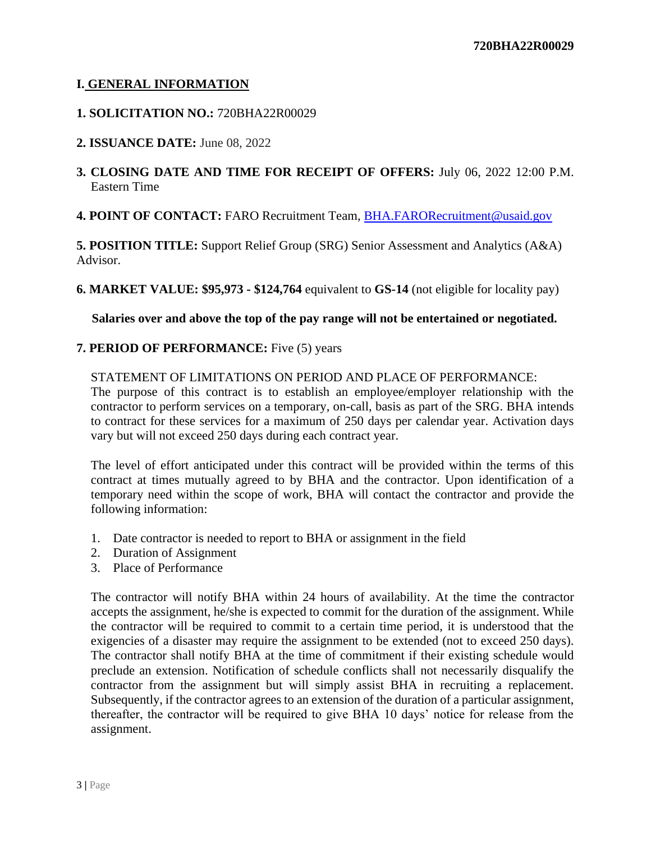# **I. GENERAL INFORMATION**

## **1. SOLICITATION NO.:** 720BHA22R00029

### **2. ISSUANCE DATE:** June 08, 2022

**3. CLOSING DATE AND TIME FOR RECEIPT OF OFFERS:** July 06, 2022 12:00 P.M. Eastern Time

**4. POINT OF CONTACT:** FARO Recruitment Team, [BHA.FARORecruitment@usaid.gov](mailto:BHA.FARORecruitment@usaid.gov)

**5. POSITION TITLE:** Support Relief Group (SRG) Senior Assessment and Analytics (A&A) Advisor.

**6. MARKET VALUE: \$95,973 - \$124,764** equivalent to **GS-14** (not eligible for locality pay)

**Salaries over and above the top of the pay range will not be entertained or negotiated.**

### **7. PERIOD OF PERFORMANCE:** Five (5) years

### STATEMENT OF LIMITATIONS ON PERIOD AND PLACE OF PERFORMANCE:

The purpose of this contract is to establish an employee/employer relationship with the contractor to perform services on a temporary, on-call, basis as part of the SRG. BHA intends to contract for these services for a maximum of 250 days per calendar year. Activation days vary but will not exceed 250 days during each contract year.

The level of effort anticipated under this contract will be provided within the terms of this contract at times mutually agreed to by BHA and the contractor. Upon identification of a temporary need within the scope of work, BHA will contact the contractor and provide the following information:

- 1. Date contractor is needed to report to BHA or assignment in the field
- 2. Duration of Assignment
- 3. Place of Performance

The contractor will notify BHA within 24 hours of availability. At the time the contractor accepts the assignment, he/she is expected to commit for the duration of the assignment. While the contractor will be required to commit to a certain time period, it is understood that the exigencies of a disaster may require the assignment to be extended (not to exceed 250 days). The contractor shall notify BHA at the time of commitment if their existing schedule would preclude an extension. Notification of schedule conflicts shall not necessarily disqualify the contractor from the assignment but will simply assist BHA in recruiting a replacement. Subsequently, if the contractor agrees to an extension of the duration of a particular assignment, thereafter, the contractor will be required to give BHA 10 days' notice for release from the assignment.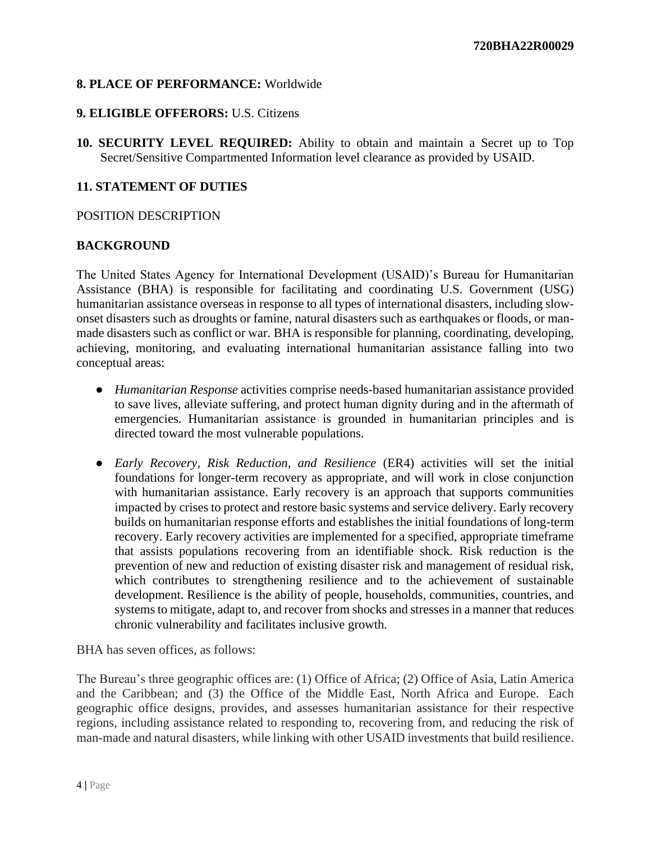# **8. PLACE OF PERFORMANCE:** Worldwide

### **9. ELIGIBLE OFFERORS:** U.S. Citizens

**10. SECURITY LEVEL REQUIRED:** Ability to obtain and maintain a Secret up to Top Secret/Sensitive Compartmented Information level clearance as provided by USAID.

## **11. STATEMENT OF DUTIES**

#### POSITION DESCRIPTION

## **BACKGROUND**

The United States Agency for International Development (USAID)'s Bureau for Humanitarian Assistance (BHA) is responsible for facilitating and coordinating U.S. Government (USG) humanitarian assistance overseas in response to all types of international disasters, including slowonset disasters such as droughts or famine, natural disasters such as earthquakes or floods, or manmade disasters such as conflict or war. BHA is responsible for planning, coordinating, developing, achieving, monitoring, and evaluating international humanitarian assistance falling into two conceptual areas:

- *Humanitarian Response* activities comprise needs-based humanitarian assistance provided to save lives, alleviate suffering, and protect human dignity during and in the aftermath of emergencies. Humanitarian assistance is grounded in humanitarian principles and is directed toward the most vulnerable populations.
- *Early Recovery, Risk Reduction, and Resilience* (ER4) activities will set the initial foundations for longer-term recovery as appropriate, and will work in close conjunction with humanitarian assistance. Early recovery is an approach that supports communities impacted by crises to protect and restore basic systems and service delivery. Early recovery builds on humanitarian response efforts and establishes the initial foundations of long-term recovery. Early recovery activities are implemented for a specified, appropriate timeframe that assists populations recovering from an identifiable shock. Risk reduction is the prevention of new and reduction of existing disaster risk and management of residual risk, which contributes to strengthening resilience and to the achievement of sustainable development. Resilience is the ability of people, households, communities, countries, and systems to mitigate, adapt to, and recover from shocks and stresses in a manner that reduces chronic vulnerability and facilitates inclusive growth.

BHA has seven offices, as follows:

The Bureau's three geographic offices are: (1) Office of Africa; (2) Office of Asia, Latin America and the Caribbean; and (3) the Office of the Middle East, North Africa and Europe. Each geographic office designs, provides, and assesses humanitarian assistance for their respective regions, including assistance related to responding to, recovering from, and reducing the risk of man-made and natural disasters, while linking with other USAID investments that build resilience.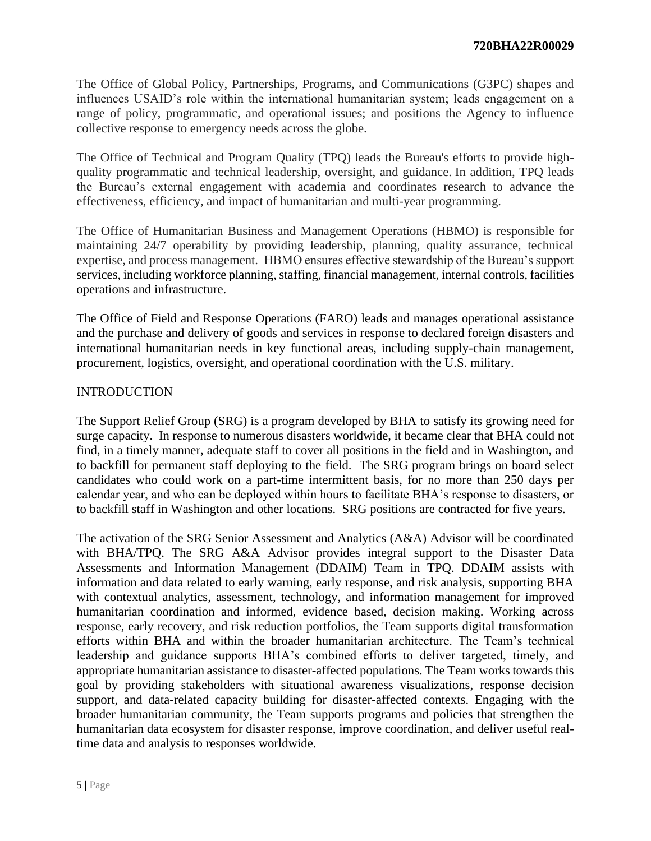The Office of Global Policy, Partnerships, Programs, and Communications (G3PC) shapes and influences USAID's role within the international humanitarian system; leads engagement on a range of policy, programmatic, and operational issues; and positions the Agency to influence collective response to emergency needs across the globe.

The Office of Technical and Program Quality (TPQ) leads the Bureau's efforts to provide highquality programmatic and technical leadership, oversight, and guidance. In addition, TPQ leads the Bureau's external engagement with academia and coordinates research to advance the effectiveness, efficiency, and impact of humanitarian and multi-year programming.

The Office of Humanitarian Business and Management Operations (HBMO) is responsible for maintaining 24/7 operability by providing leadership, planning, quality assurance, technical expertise, and process management. HBMO ensures effective stewardship of the Bureau's support services, including workforce planning, staffing, financial management, internal controls, facilities operations and infrastructure.

The Office of Field and Response Operations (FARO) leads and manages operational assistance and the purchase and delivery of goods and services in response to declared foreign disasters and international humanitarian needs in key functional areas, including supply-chain management, procurement, logistics, oversight, and operational coordination with the U.S. military.

## INTRODUCTION

The Support Relief Group (SRG) is a program developed by BHA to satisfy its growing need for surge capacity. In response to numerous disasters worldwide, it became clear that BHA could not find, in a timely manner, adequate staff to cover all positions in the field and in Washington, and to backfill for permanent staff deploying to the field. The SRG program brings on board select candidates who could work on a part-time intermittent basis, for no more than 250 days per calendar year, and who can be deployed within hours to facilitate BHA's response to disasters, or to backfill staff in Washington and other locations. SRG positions are contracted for five years.

The activation of the SRG Senior Assessment and Analytics (A&A) Advisor will be coordinated with BHA/TPQ. The SRG A&A Advisor provides integral support to the Disaster Data Assessments and Information Management (DDAIM) Team in TPQ. DDAIM assists with information and data related to early warning, early response, and risk analysis, supporting BHA with contextual analytics, assessment, technology, and information management for improved humanitarian coordination and informed, evidence based, decision making. Working across response, early recovery, and risk reduction portfolios, the Team supports digital transformation efforts within BHA and within the broader humanitarian architecture. The Team's technical leadership and guidance supports BHA's combined efforts to deliver targeted, timely, and appropriate humanitarian assistance to disaster-affected populations. The Team works towards this goal by providing stakeholders with situational awareness visualizations, response decision support, and data-related capacity building for disaster-affected contexts. Engaging with the broader humanitarian community, the Team supports programs and policies that strengthen the humanitarian data ecosystem for disaster response, improve coordination, and deliver useful realtime data and analysis to responses worldwide.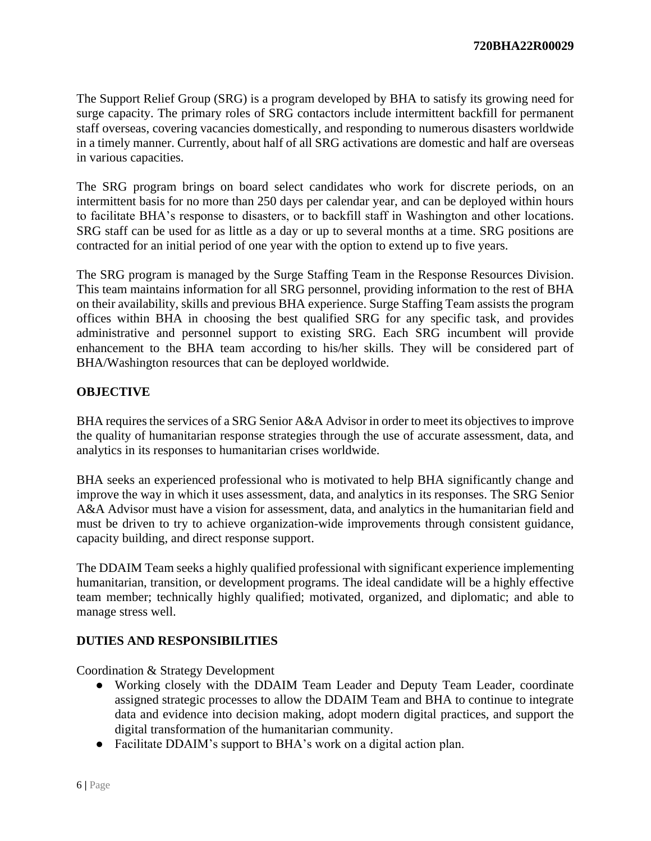The Support Relief Group (SRG) is a program developed by BHA to satisfy its growing need for surge capacity. The primary roles of SRG contactors include intermittent backfill for permanent staff overseas, covering vacancies domestically, and responding to numerous disasters worldwide in a timely manner. Currently, about half of all SRG activations are domestic and half are overseas in various capacities.

The SRG program brings on board select candidates who work for discrete periods, on an intermittent basis for no more than 250 days per calendar year, and can be deployed within hours to facilitate BHA's response to disasters, or to backfill staff in Washington and other locations. SRG staff can be used for as little as a day or up to several months at a time. SRG positions are contracted for an initial period of one year with the option to extend up to five years.

The SRG program is managed by the Surge Staffing Team in the Response Resources Division. This team maintains information for all SRG personnel, providing information to the rest of BHA on their availability, skills and previous BHA experience. Surge Staffing Team assists the program offices within BHA in choosing the best qualified SRG for any specific task, and provides administrative and personnel support to existing SRG. Each SRG incumbent will provide enhancement to the BHA team according to his/her skills. They will be considered part of BHA/Washington resources that can be deployed worldwide.

# **OBJECTIVE**

BHA requires the services of a SRG Senior A&A Advisor in order to meet its objectives to improve the quality of humanitarian response strategies through the use of accurate assessment, data, and analytics in its responses to humanitarian crises worldwide.

BHA seeks an experienced professional who is motivated to help BHA significantly change and improve the way in which it uses assessment, data, and analytics in its responses. The SRG Senior A&A Advisor must have a vision for assessment, data, and analytics in the humanitarian field and must be driven to try to achieve organization-wide improvements through consistent guidance, capacity building, and direct response support.

The DDAIM Team seeks a highly qualified professional with significant experience implementing humanitarian, transition, or development programs. The ideal candidate will be a highly effective team member; technically highly qualified; motivated, organized, and diplomatic; and able to manage stress well.

# **DUTIES AND RESPONSIBILITIES**

Coordination & Strategy Development

- Working closely with the DDAIM Team Leader and Deputy Team Leader, coordinate assigned strategic processes to allow the DDAIM Team and BHA to continue to integrate data and evidence into decision making, adopt modern digital practices, and support the digital transformation of the humanitarian community.
- Facilitate DDAIM's support to BHA's work on a digital action plan.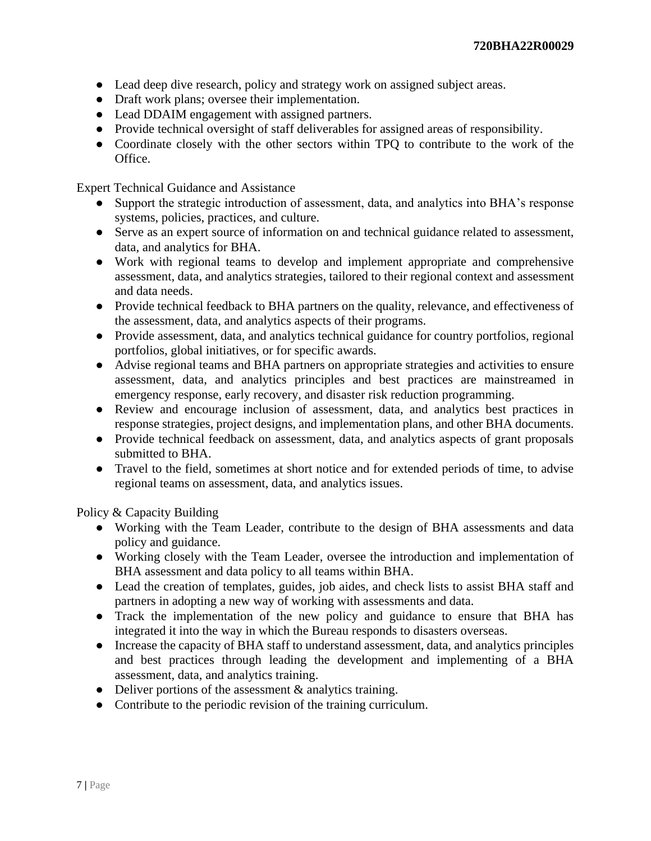- Lead deep dive research, policy and strategy work on assigned subject areas.
- Draft work plans; oversee their implementation.
- Lead DDAIM engagement with assigned partners.
- Provide technical oversight of staff deliverables for assigned areas of responsibility.
- Coordinate closely with the other sectors within TPQ to contribute to the work of the Office.

Expert Technical Guidance and Assistance

- Support the strategic introduction of assessment, data, and analytics into BHA's response systems, policies, practices, and culture.
- Serve as an expert source of information on and technical guidance related to assessment, data, and analytics for BHA.
- Work with regional teams to develop and implement appropriate and comprehensive assessment, data, and analytics strategies, tailored to their regional context and assessment and data needs.
- Provide technical feedback to BHA partners on the quality, relevance, and effectiveness of the assessment, data, and analytics aspects of their programs.
- Provide assessment, data, and analytics technical guidance for country portfolios, regional portfolios, global initiatives, or for specific awards.
- Advise regional teams and BHA partners on appropriate strategies and activities to ensure assessment, data, and analytics principles and best practices are mainstreamed in emergency response, early recovery, and disaster risk reduction programming.
- Review and encourage inclusion of assessment, data, and analytics best practices in response strategies, project designs, and implementation plans, and other BHA documents.
- Provide technical feedback on assessment, data, and analytics aspects of grant proposals submitted to BHA.
- Travel to the field, sometimes at short notice and for extended periods of time, to advise regional teams on assessment, data, and analytics issues.

Policy & Capacity Building

- Working with the Team Leader, contribute to the design of BHA assessments and data policy and guidance.
- Working closely with the Team Leader, oversee the introduction and implementation of BHA assessment and data policy to all teams within BHA.
- Lead the creation of templates, guides, job aides, and check lists to assist BHA staff and partners in adopting a new way of working with assessments and data.
- Track the implementation of the new policy and guidance to ensure that BHA has integrated it into the way in which the Bureau responds to disasters overseas.
- Increase the capacity of BHA staff to understand assessment, data, and analytics principles and best practices through leading the development and implementing of a BHA assessment, data, and analytics training.
- Deliver portions of the assessment & analytics training.
- Contribute to the periodic revision of the training curriculum.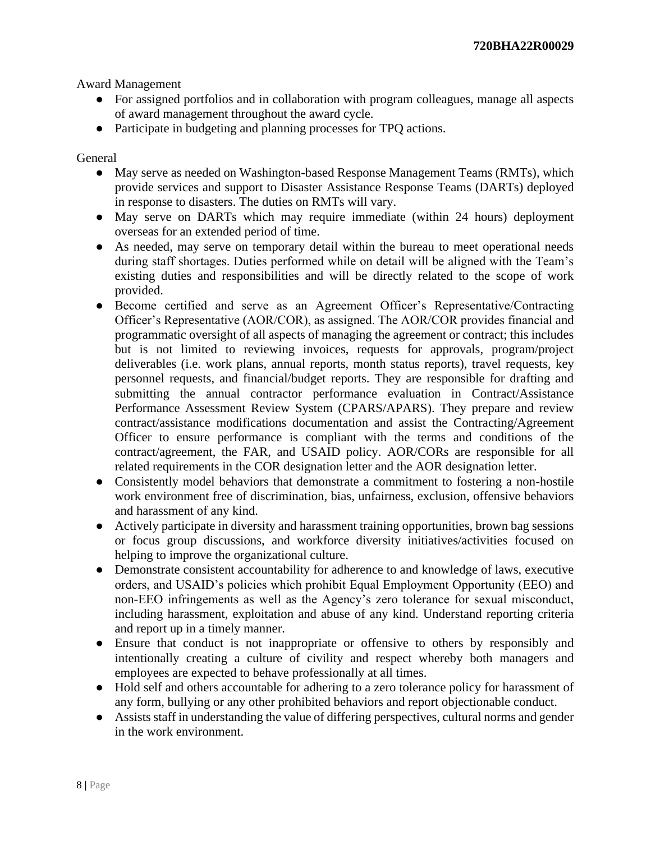Award Management

- For assigned portfolios and in collaboration with program colleagues, manage all aspects of award management throughout the award cycle.
- Participate in budgeting and planning processes for TPQ actions.

General

- May serve as needed on Washington-based Response Management Teams (RMTs), which provide services and support to Disaster Assistance Response Teams (DARTs) deployed in response to disasters. The duties on RMTs will vary.
- May serve on DARTs which may require immediate (within 24 hours) deployment overseas for an extended period of time.
- As needed, may serve on temporary detail within the bureau to meet operational needs during staff shortages. Duties performed while on detail will be aligned with the Team's existing duties and responsibilities and will be directly related to the scope of work provided.
- Become certified and serve as an Agreement Officer's Representative/Contracting Officer's Representative (AOR/COR), as assigned. The AOR/COR provides financial and programmatic oversight of all aspects of managing the agreement or contract; this includes but is not limited to reviewing invoices, requests for approvals, program/project deliverables (i.e. work plans, annual reports, month status reports), travel requests, key personnel requests, and financial/budget reports. They are responsible for drafting and submitting the annual contractor performance evaluation in Contract/Assistance Performance Assessment Review System (CPARS/APARS). They prepare and review contract/assistance modifications documentation and assist the Contracting/Agreement Officer to ensure performance is compliant with the terms and conditions of the contract/agreement, the FAR, and USAID policy. AOR/CORs are responsible for all related requirements in the COR designation letter and the AOR designation letter.
- Consistently model behaviors that demonstrate a commitment to fostering a non-hostile work environment free of discrimination, bias, unfairness, exclusion, offensive behaviors and harassment of any kind.
- Actively participate in diversity and harassment training opportunities, brown bag sessions or focus group discussions, and workforce diversity initiatives/activities focused on helping to improve the organizational culture.
- Demonstrate consistent accountability for adherence to and knowledge of laws, executive orders, and USAID's policies which prohibit Equal Employment Opportunity (EEO) and non-EEO infringements as well as the Agency's zero tolerance for sexual misconduct, including harassment, exploitation and abuse of any kind. Understand reporting criteria and report up in a timely manner.
- Ensure that conduct is not inappropriate or offensive to others by responsibly and intentionally creating a culture of civility and respect whereby both managers and employees are expected to behave professionally at all times.
- Hold self and others accountable for adhering to a zero tolerance policy for harassment of any form, bullying or any other prohibited behaviors and report objectionable conduct.
- Assists staff in understanding the value of differing perspectives, cultural norms and gender in the work environment.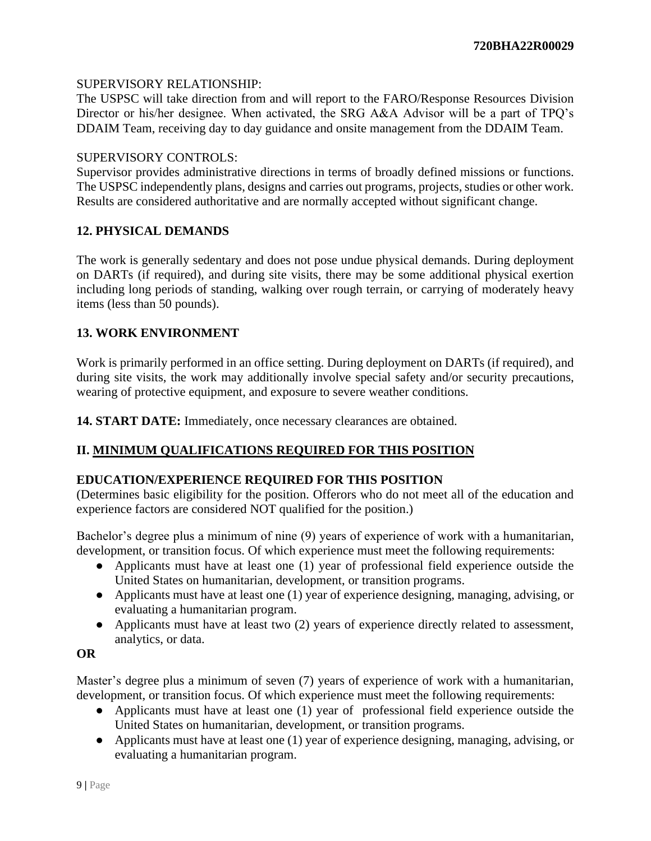## SUPERVISORY RELATIONSHIP:

The USPSC will take direction from and will report to the FARO/Response Resources Division Director or his/her designee. When activated, the SRG A&A Advisor will be a part of TPQ's DDAIM Team, receiving day to day guidance and onsite management from the DDAIM Team.

### SUPERVISORY CONTROLS:

Supervisor provides administrative directions in terms of broadly defined missions or functions. The USPSC independently plans, designs and carries out programs, projects, studies or other work. Results are considered authoritative and are normally accepted without significant change.

## **12. PHYSICAL DEMANDS**

The work is generally sedentary and does not pose undue physical demands. During deployment on DARTs (if required), and during site visits, there may be some additional physical exertion including long periods of standing, walking over rough terrain, or carrying of moderately heavy items (less than 50 pounds).

## **13. WORK ENVIRONMENT**

Work is primarily performed in an office setting. During deployment on DARTs (if required), and during site visits, the work may additionally involve special safety and/or security precautions, wearing of protective equipment, and exposure to severe weather conditions.

**14. START DATE:** Immediately, once necessary clearances are obtained.

# **II. MINIMUM QUALIFICATIONS REQUIRED FOR THIS POSITION**

### **EDUCATION/EXPERIENCE REQUIRED FOR THIS POSITION**

(Determines basic eligibility for the position. Offerors who do not meet all of the education and experience factors are considered NOT qualified for the position.)

Bachelor's degree plus a minimum of nine (9) years of experience of work with a humanitarian, development, or transition focus. Of which experience must meet the following requirements:

- Applicants must have at least one (1) year of professional field experience outside the United States on humanitarian, development, or transition programs.
- Applicants must have at least one (1) year of experience designing, managing, advising, or evaluating a humanitarian program.
- Applicants must have at least two (2) years of experience directly related to assessment, analytics, or data.

### **OR**

Master's degree plus a minimum of seven (7) years of experience of work with a humanitarian, development, or transition focus. Of which experience must meet the following requirements:

- Applicants must have at least one (1) year of professional field experience outside the United States on humanitarian, development, or transition programs.
- Applicants must have at least one (1) year of experience designing, managing, advising, or evaluating a humanitarian program.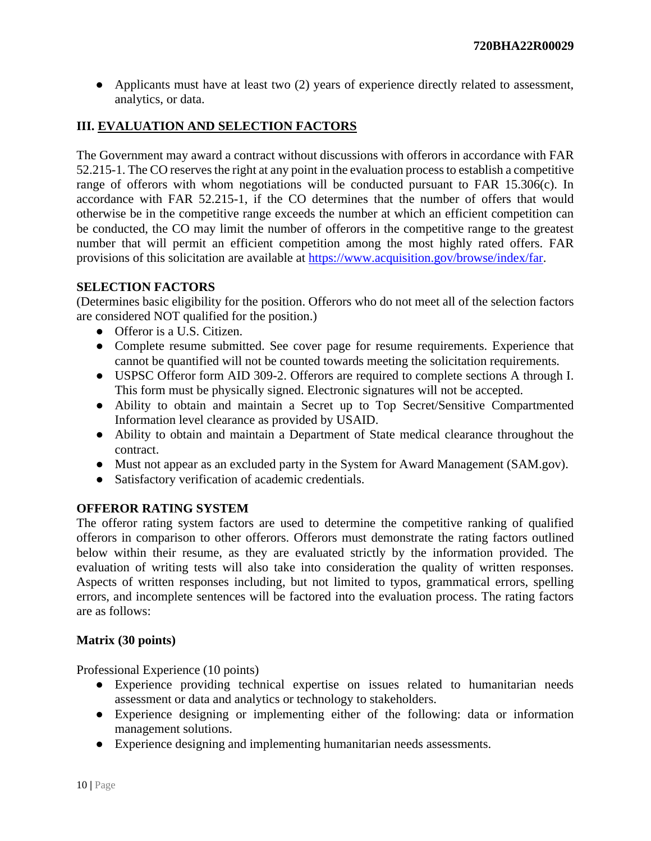● Applicants must have at least two (2) years of experience directly related to assessment, analytics, or data.

# **III. EVALUATION AND SELECTION FACTORS**

The Government may award a contract without discussions with offerors in accordance with FAR 52.215-1. The CO reserves the right at any point in the evaluation process to establish a competitive range of offerors with whom negotiations will be conducted pursuant to FAR 15.306(c). In accordance with FAR 52.215-1, if the CO determines that the number of offers that would otherwise be in the competitive range exceeds the number at which an efficient competition can be conducted, the CO may limit the number of offerors in the competitive range to the greatest number that will permit an efficient competition among the most highly rated offers. FAR provisions of this solicitation are available at [https://www.acquisition.gov/browse/index/far.](https://www.acquisition.gov/browse/index/far)

### **SELECTION FACTORS**

(Determines basic eligibility for the position. Offerors who do not meet all of the selection factors are considered NOT qualified for the position.)

- Offeror is a U.S. Citizen.
- Complete resume submitted. See cover page for resume requirements. Experience that cannot be quantified will not be counted towards meeting the solicitation requirements.
- USPSC Offeror form AID 309-2. Offerors are required to complete sections A through I. This form must be physically signed. Electronic signatures will not be accepted.
- Ability to obtain and maintain a Secret up to Top Secret/Sensitive Compartmented Information level clearance as provided by USAID.
- Ability to obtain and maintain a Department of State medical clearance throughout the contract.
- Must not appear as an excluded party in the System for Award Management (SAM.gov).
- Satisfactory verification of academic credentials.

# **OFFEROR RATING SYSTEM**

The offeror rating system factors are used to determine the competitive ranking of qualified offerors in comparison to other offerors. Offerors must demonstrate the rating factors outlined below within their resume, as they are evaluated strictly by the information provided. The evaluation of writing tests will also take into consideration the quality of written responses. Aspects of written responses including, but not limited to typos, grammatical errors, spelling errors, and incomplete sentences will be factored into the evaluation process. The rating factors are as follows:

### **Matrix (30 points)**

Professional Experience (10 points)

- Experience providing technical expertise on issues related to humanitarian needs assessment or data and analytics or technology to stakeholders.
- Experience designing or implementing either of the following: data or information management solutions.
- Experience designing and implementing humanitarian needs assessments.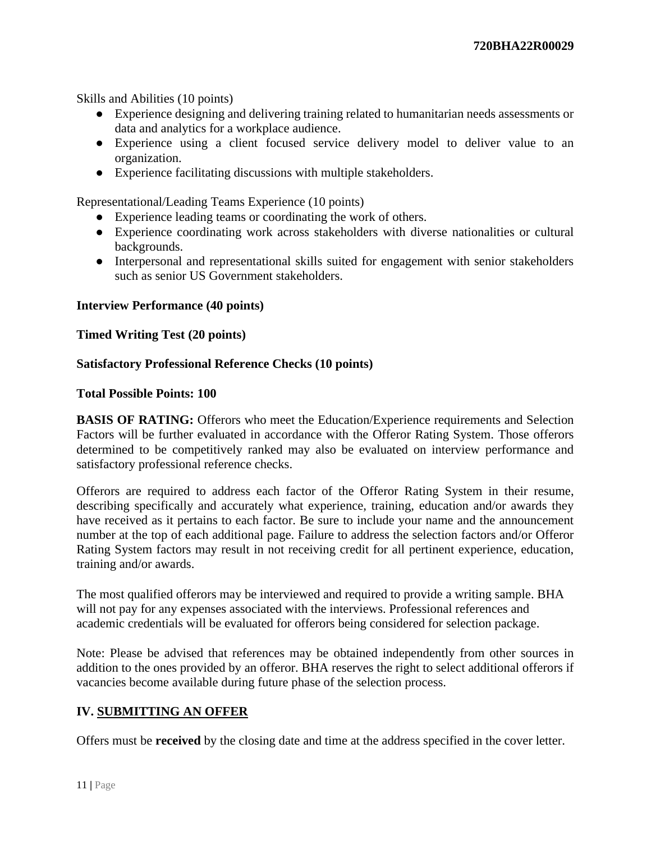Skills and Abilities (10 points)

- Experience designing and delivering training related to humanitarian needs assessments or data and analytics for a workplace audience.
- Experience using a client focused service delivery model to deliver value to an organization.
- Experience facilitating discussions with multiple stakeholders.

Representational/Leading Teams Experience (10 points)

- Experience leading teams or coordinating the work of others.
- Experience coordinating work across stakeholders with diverse nationalities or cultural backgrounds.
- Interpersonal and representational skills suited for engagement with senior stakeholders such as senior US Government stakeholders.

#### **Interview Performance (40 points)**

**Timed Writing Test (20 points)**

#### **Satisfactory Professional Reference Checks (10 points)**

#### **Total Possible Points: 100**

**BASIS OF RATING:** Offerors who meet the Education/Experience requirements and Selection Factors will be further evaluated in accordance with the Offeror Rating System. Those offerors determined to be competitively ranked may also be evaluated on interview performance and satisfactory professional reference checks.

Offerors are required to address each factor of the Offeror Rating System in their resume, describing specifically and accurately what experience, training, education and/or awards they have received as it pertains to each factor. Be sure to include your name and the announcement number at the top of each additional page. Failure to address the selection factors and/or Offeror Rating System factors may result in not receiving credit for all pertinent experience, education, training and/or awards.

The most qualified offerors may be interviewed and required to provide a writing sample. BHA will not pay for any expenses associated with the interviews. Professional references and academic credentials will be evaluated for offerors being considered for selection package.

Note: Please be advised that references may be obtained independently from other sources in addition to the ones provided by an offeror. BHA reserves the right to select additional offerors if vacancies become available during future phase of the selection process.

### **IV. SUBMITTING AN OFFER**

Offers must be **received** by the closing date and time at the address specified in the cover letter.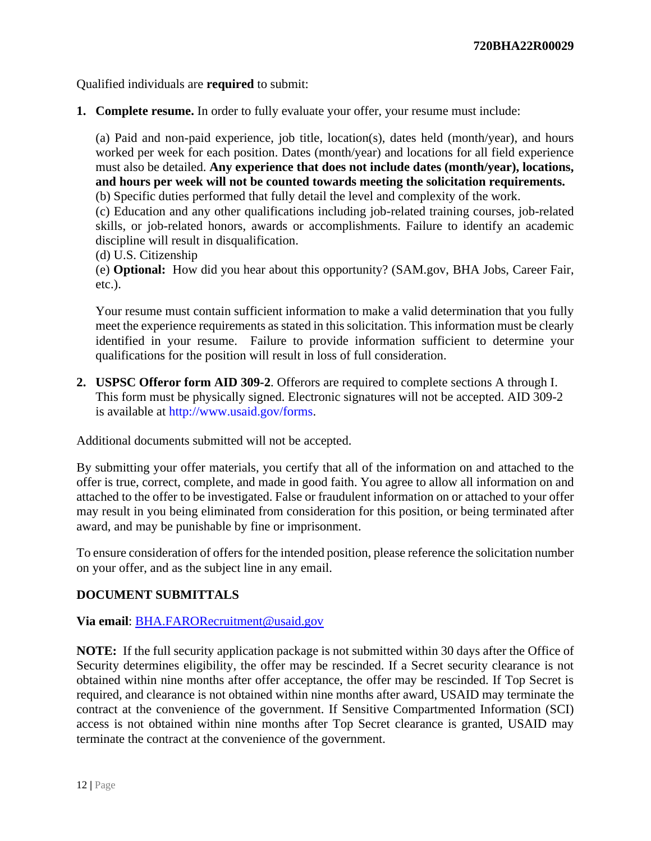Qualified individuals are **required** to submit:

**1. Complete resume.** In order to fully evaluate your offer, your resume must include:

(a) Paid and non-paid experience, job title, location(s), dates held (month/year), and hours worked per week for each position. Dates (month/year) and locations for all field experience must also be detailed. **Any experience that does not include dates (month/year), locations, and hours per week will not be counted towards meeting the solicitation requirements.**

(b) Specific duties performed that fully detail the level and complexity of the work.

(c) Education and any other qualifications including job-related training courses, job-related skills, or job-related honors, awards or accomplishments. Failure to identify an academic discipline will result in disqualification.

(d) U.S. Citizenship

(e) **Optional:** How did you hear about this opportunity? (SAM.gov, BHA Jobs, Career Fair, etc.).

Your resume must contain sufficient information to make a valid determination that you fully meet the experience requirements as stated in this solicitation. This information must be clearly identified in your resume. Failure to provide information sufficient to determine your qualifications for the position will result in loss of full consideration.

**2. USPSC Offeror form AID 309-2**. Offerors are required to complete sections A through I. This form must be physically signed. Electronic signatures will not be accepted. AID 309-2 is available at http://www.usaid.gov/forms.

Additional documents submitted will not be accepted.

By submitting your offer materials, you certify that all of the information on and attached to the offer is true, correct, complete, and made in good faith. You agree to allow all information on and attached to the offer to be investigated. False or fraudulent information on or attached to your offer may result in you being eliminated from consideration for this position, or being terminated after award, and may be punishable by fine or imprisonment.

To ensure consideration of offers for the intended position, please reference the solicitation number on your offer, and as the subject line in any email.

# **DOCUMENT SUBMITTALS**

### **Via email**: [BHA.FARORecruitment@usaid.gov](mailto:BHA.FARORecruitment@usaid.gov)

**NOTE:** If the full security application package is not submitted within 30 days after the Office of Security determines eligibility, the offer may be rescinded. If a Secret security clearance is not obtained within nine months after offer acceptance, the offer may be rescinded. If Top Secret is required, and clearance is not obtained within nine months after award, USAID may terminate the contract at the convenience of the government. If Sensitive Compartmented Information (SCI) access is not obtained within nine months after Top Secret clearance is granted, USAID may terminate the contract at the convenience of the government.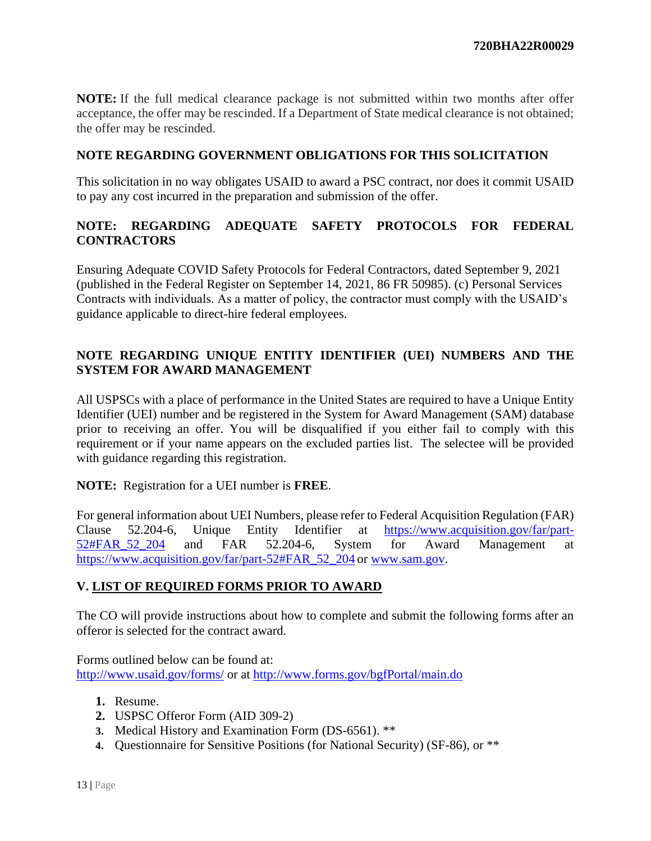**NOTE:** If the full medical clearance package is not submitted within two months after offer acceptance, the offer may be rescinded. If a Department of State medical clearance is not obtained; the offer may be rescinded.

## **NOTE REGARDING GOVERNMENT OBLIGATIONS FOR THIS SOLICITATION**

This solicitation in no way obligates USAID to award a PSC contract, nor does it commit USAID to pay any cost incurred in the preparation and submission of the offer.

# **NOTE: REGARDING ADEQUATE SAFETY PROTOCOLS FOR FEDERAL CONTRACTORS**

Ensuring Adequate COVID Safety Protocols for Federal Contractors, dated September 9, 2021 (published in the Federal Register on September 14, 2021, 86 FR 50985). (c) Personal Services Contracts with individuals. As a matter of policy, the contractor must comply with the USAID's guidance applicable to direct-hire federal employees.

# **NOTE REGARDING UNIQUE ENTITY IDENTIFIER (UEI) NUMBERS AND THE SYSTEM FOR AWARD MANAGEMENT**

All USPSCs with a place of performance in the United States are required to have a Unique Entity Identifier (UEI) number and be registered in the System for Award Management (SAM) database prior to receiving an offer. You will be disqualified if you either fail to comply with this requirement or if your name appears on the excluded parties list. The selectee will be provided with guidance regarding this registration.

**NOTE:** Registration for a UEI number is **FREE**.

For general information about UEI Numbers, please refer to Federal Acquisition Regulation (FAR) Clause 52.204-6, Unique Entity Identifier at [https://www.acquisition.gov/far/part-](https://www.acquisition.gov/far/part-52#FAR_52_204)[52#FAR\\_52\\_204](https://www.acquisition.gov/far/part-52#FAR_52_204) and FAR 52.204-6, System for Award Management a[t](https://www.acquisition.gov/far/part-52#FAR_52_204) [https://www.acquisition.gov/far/part-52#FAR\\_52\\_204](https://www.acquisition.gov/far/part-52#FAR_52_204) o[r](http://www.sam.gov/) [www.sam.gov.](http://www.sam.gov/)

# **V. LIST OF REQUIRED FORMS PRIOR TO AWARD**

The CO will provide instructions about how to complete and submit the following forms after an offeror is selected for the contract award.

Forms outlined below can be found at: <http://www.usaid.gov/forms/> or at<http://www.forms.gov/bgfPortal/main.do>

- **1.** Resume.
- **2.** USPSC Offeror Form (AID 309-2)
- **3.** Medical History and Examination Form (DS-6561). \*\*
- **4.** Questionnaire for Sensitive Positions (for National Security) (SF-86), or \*\*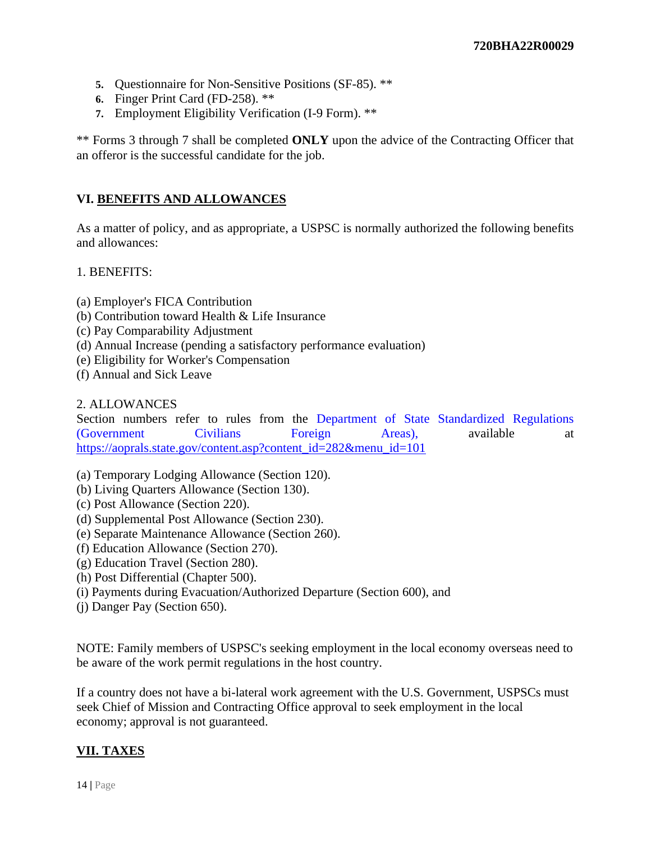- **5.** Questionnaire for Non-Sensitive Positions (SF-85). \*\*
- **6.** Finger Print Card (FD-258). \*\*
- **7.** Employment Eligibility Verification (I-9 Form). \*\*

\*\* Forms 3 through 7 shall be completed **ONLY** upon the advice of the Contracting Officer that an offeror is the successful candidate for the job.

# **VI. BENEFITS AND ALLOWANCES**

As a matter of policy, and as appropriate, a USPSC is normally authorized the following benefits and allowances:

### 1. BENEFITS:

- (a) Employer's FICA Contribution
- (b) Contribution toward Health & Life Insurance
- (c) Pay Comparability Adjustment
- (d) Annual Increase (pending a satisfactory performance evaluation)
- (e) Eligibility for Worker's Compensation
- (f) Annual and Sick Leave

#### 2. ALLOWANCES

Section numbers refer to rules from the Department of State Standardized Regulations (Government Civilians Foreign Areas), available at [https://aoprals.state.gov/content.asp?content\\_id=282&menu\\_id=101](https://aoprals.state.gov/content.asp?content_id=282&menu_id=101)

- (a) Temporary Lodging Allowance (Section 120).
- (b) Living Quarters Allowance (Section 130).
- (c) Post Allowance (Section 220).
- (d) Supplemental Post Allowance (Section 230).
- (e) Separate Maintenance Allowance (Section 260).
- (f) Education Allowance (Section 270).
- (g) Education Travel (Section 280).
- (h) Post Differential (Chapter 500).
- (i) Payments during Evacuation/Authorized Departure (Section 600), and
- (j) Danger Pay (Section 650).

NOTE: Family members of USPSC's seeking employment in the local economy overseas need to be aware of the work permit regulations in the host country.

If a country does not have a bi-lateral work agreement with the U.S. Government, USPSCs must seek Chief of Mission and Contracting Office approval to seek employment in the local economy; approval is not guaranteed.

# **VII. TAXES**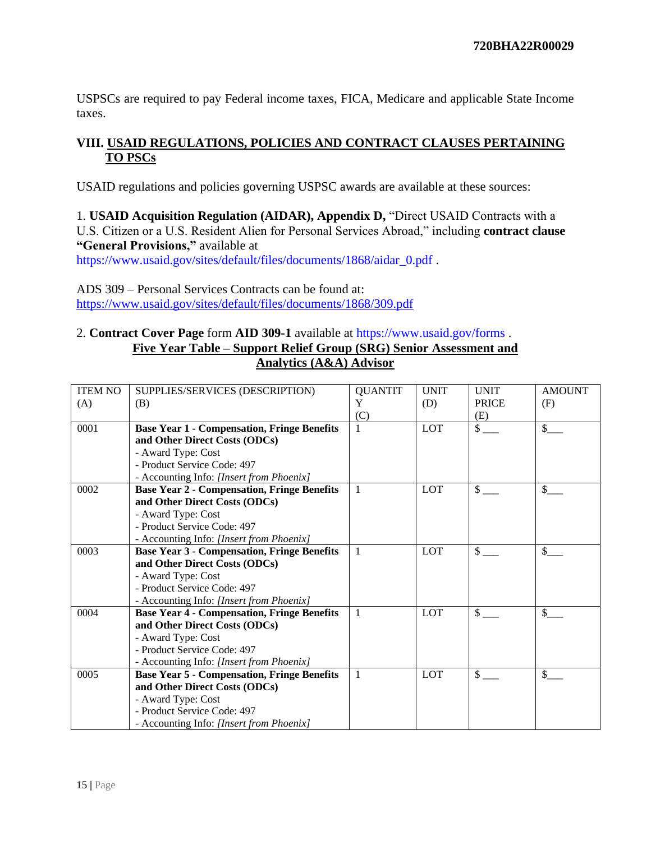USPSCs are required to pay Federal income taxes, FICA, Medicare and applicable State Income taxes.

# **VIII. USAID REGULATIONS, POLICIES AND CONTRACT CLAUSES PERTAINING TO PSCs**

USAID regulations and policies governing USPSC awards are available at these sources:

1. **USAID Acquisition Regulation (AIDAR), Appendix D,** "Direct USAID Contracts with a U.S. Citizen or a U.S. Resident Alien for Personal Services Abroad," including **contract clause "General Provisions,"** available at

https://www.usaid.gov/sites/default/files/documents/1868/aidar\_0.pdf .

ADS 309 – Personal Services Contracts can be found at: <https://www.usaid.gov/sites/default/files/documents/1868/309.pdf>

### 2. **Contract Cover Page** form **AID 309-1** available at https://www.usaid.gov/forms . **Five Year Table – Support Relief Group (SRG) Senior Assessment and Analytics (A&A) Advisor**

| <b>ITEM NO</b> | SUPPLIES/SERVICES (DESCRIPTION)                    | <b>QUANTIT</b> | <b>UNIT</b> | <b>UNIT</b>   | <b>AMOUNT</b> |
|----------------|----------------------------------------------------|----------------|-------------|---------------|---------------|
|                | (B)                                                | Y              | (D)         | <b>PRICE</b>  | (F)           |
| (A)            |                                                    | (C)            |             | (E)           |               |
| 0001           | <b>Base Year 1 - Compensation, Fringe Benefits</b> |                | LOT         | $\sqrt{\ }$   | \$            |
|                |                                                    |                |             |               |               |
|                | and Other Direct Costs (ODCs)                      |                |             |               |               |
|                | - Award Type: Cost                                 |                |             |               |               |
|                | - Product Service Code: 497                        |                |             |               |               |
|                | - Accounting Info: [Insert from Phoenix]           |                |             |               |               |
| 0002           | <b>Base Year 2 - Compensation, Fringe Benefits</b> | 1              | <b>LOT</b>  | $\mathbb{S}$  | \$            |
|                | and Other Direct Costs (ODCs)                      |                |             |               |               |
|                | - Award Type: Cost                                 |                |             |               |               |
|                | - Product Service Code: 497                        |                |             |               |               |
|                | - Accounting Info: [Insert from Phoenix]           |                |             |               |               |
| 0003           | <b>Base Year 3 - Compensation, Fringe Benefits</b> | 1              | LOT         | $\frac{1}{2}$ | \$            |
|                | and Other Direct Costs (ODCs)                      |                |             |               |               |
|                | - Award Type: Cost                                 |                |             |               |               |
|                | - Product Service Code: 497                        |                |             |               |               |
|                | - Accounting Info: [Insert from Phoenix]           |                |             |               |               |
| 0004           | <b>Base Year 4 - Compensation, Fringe Benefits</b> | $\mathbf{1}$   | LOT         | $\mathbb{S}$  | \$            |
|                | and Other Direct Costs (ODCs)                      |                |             |               |               |
|                | - Award Type: Cost                                 |                |             |               |               |
|                | - Product Service Code: 497                        |                |             |               |               |
|                | - Accounting Info: [Insert from Phoenix]           |                |             |               |               |
| 0005           | <b>Base Year 5 - Compensation, Fringe Benefits</b> | 1              | <b>LOT</b>  | \$            | \$            |
|                | and Other Direct Costs (ODCs)                      |                |             |               |               |
|                | - Award Type: Cost                                 |                |             |               |               |
|                | - Product Service Code: 497                        |                |             |               |               |
|                | - Accounting Info: [Insert from Phoenix]           |                |             |               |               |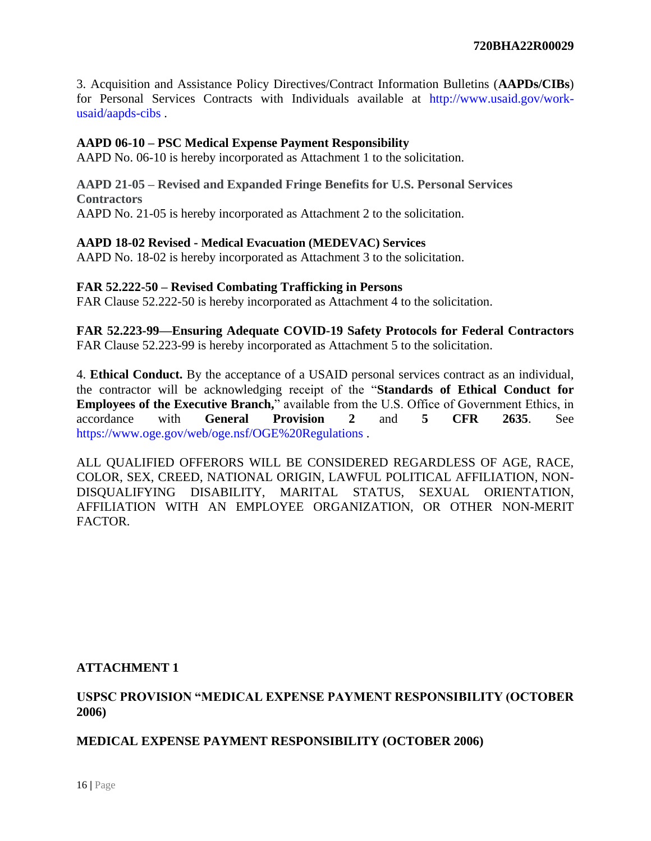3. Acquisition and Assistance Policy Directives/Contract Information Bulletins (**AAPDs/CIBs**) for Personal Services Contracts with Individuals available at http://www.usaid.gov/workusaid/aapds-cibs .

#### **AAPD 06-10 – PSC Medical Expense Payment Responsibility**

AAPD No. 06-10 is hereby incorporated as Attachment 1 to the solicitation.

#### **AAPD 21-05 – Revised and Expanded Fringe Benefits for U.S. Personal Services Contractors** AAPD No. 21-05 is hereby incorporated as Attachment 2 to the solicitation.

#### **AAPD 18-02 Revised - Medical Evacuation (MEDEVAC) Services**

AAPD No. 18-02 is hereby incorporated as Attachment 3 to the solicitation.

#### **FAR 52.222-50 – Revised Combating Trafficking in Persons**

FAR Clause 52.222-50 is hereby incorporated as Attachment 4 to the solicitation.

**FAR 52.223-99—Ensuring Adequate COVID-19 Safety Protocols for Federal Contractors**  FAR Clause 52.223-99 is hereby incorporated as Attachment 5 to the solicitation.

4. **Ethical Conduct.** By the acceptance of a USAID personal services contract as an individual, the contractor will be acknowledging receipt of the "**Standards of Ethical Conduct for Employees of the Executive Branch,**" available from the U.S. Office of Government Ethics, in accordance with **General Provision 2** and **5 CFR 2635**. See https://www.oge.gov/web/oge.nsf/OGE%20Regulations .

ALL QUALIFIED OFFERORS WILL BE CONSIDERED REGARDLESS OF AGE, RACE, COLOR, SEX, CREED, NATIONAL ORIGIN, LAWFUL POLITICAL AFFILIATION, NON-DISQUALIFYING DISABILITY, MARITAL STATUS, SEXUAL ORIENTATION, AFFILIATION WITH AN EMPLOYEE ORGANIZATION, OR OTHER NON-MERIT FACTOR.

#### **ATTACHMENT 1**

## **USPSC PROVISION "MEDICAL EXPENSE PAYMENT RESPONSIBILITY (OCTOBER 2006)**

### **MEDICAL EXPENSE PAYMENT RESPONSIBILITY (OCTOBER 2006)**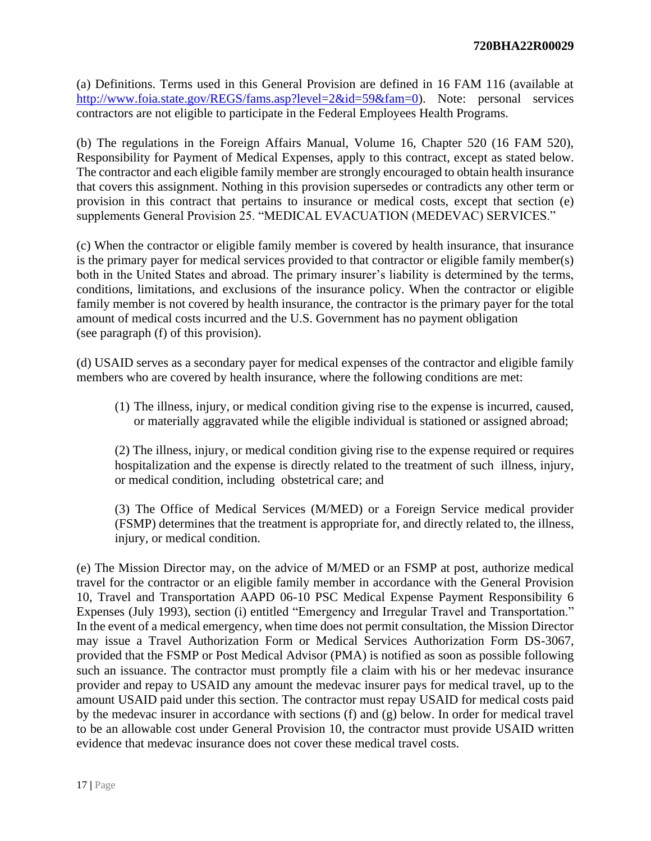(a) Definitions. Terms used in this General Provision are defined in 16 FAM 116 (available at [http://www.foia.state.gov/REGS/fams.asp?level=2&id=59&fam=0\)](http://www.foia.state.gov/REGS/fams.asp?level=2&id=59&fam=0). Note: personal services contractors are not eligible to participate in the Federal Employees Health Programs.

(b) The regulations in the Foreign Affairs Manual, Volume 16, Chapter 520 (16 FAM 520), Responsibility for Payment of Medical Expenses, apply to this contract, except as stated below. The contractor and each eligible family member are strongly encouraged to obtain health insurance that covers this assignment. Nothing in this provision supersedes or contradicts any other term or provision in this contract that pertains to insurance or medical costs, except that section (e) supplements General Provision 25. "MEDICAL EVACUATION (MEDEVAC) SERVICES."

(c) When the contractor or eligible family member is covered by health insurance, that insurance is the primary payer for medical services provided to that contractor or eligible family member(s) both in the United States and abroad. The primary insurer's liability is determined by the terms, conditions, limitations, and exclusions of the insurance policy. When the contractor or eligible family member is not covered by health insurance, the contractor is the primary payer for the total amount of medical costs incurred and the U.S. Government has no payment obligation (see paragraph (f) of this provision).

(d) USAID serves as a secondary payer for medical expenses of the contractor and eligible family members who are covered by health insurance, where the following conditions are met:

(1) The illness, injury, or medical condition giving rise to the expense is incurred, caused, or materially aggravated while the eligible individual is stationed or assigned abroad;

(2) The illness, injury, or medical condition giving rise to the expense required or requires hospitalization and the expense is directly related to the treatment of such illness, injury, or medical condition, including obstetrical care; and

(3) The Office of Medical Services (M/MED) or a Foreign Service medical provider (FSMP) determines that the treatment is appropriate for, and directly related to, the illness, injury, or medical condition.

(e) The Mission Director may, on the advice of M/MED or an FSMP at post, authorize medical travel for the contractor or an eligible family member in accordance with the General Provision 10, Travel and Transportation AAPD 06-10 PSC Medical Expense Payment Responsibility 6 Expenses (July 1993), section (i) entitled "Emergency and Irregular Travel and Transportation." In the event of a medical emergency, when time does not permit consultation, the Mission Director may issue a Travel Authorization Form or Medical Services Authorization Form DS-3067, provided that the FSMP or Post Medical Advisor (PMA) is notified as soon as possible following such an issuance. The contractor must promptly file a claim with his or her medevac insurance provider and repay to USAID any amount the medevac insurer pays for medical travel, up to the amount USAID paid under this section. The contractor must repay USAID for medical costs paid by the medevac insurer in accordance with sections (f) and (g) below. In order for medical travel to be an allowable cost under General Provision 10, the contractor must provide USAID written evidence that medevac insurance does not cover these medical travel costs.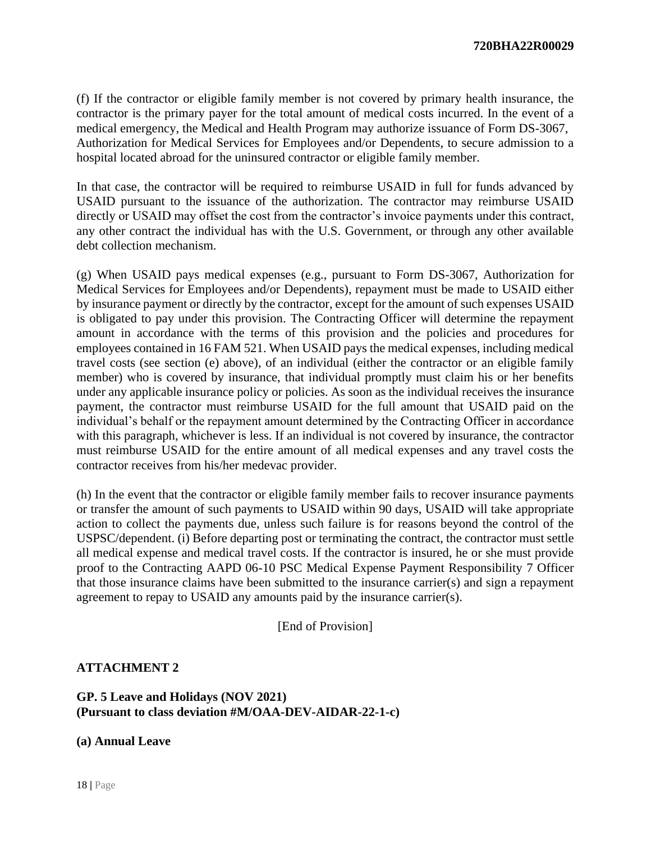(f) If the contractor or eligible family member is not covered by primary health insurance, the contractor is the primary payer for the total amount of medical costs incurred. In the event of a medical emergency, the Medical and Health Program may authorize issuance of Form DS-3067, Authorization for Medical Services for Employees and/or Dependents, to secure admission to a hospital located abroad for the uninsured contractor or eligible family member.

In that case, the contractor will be required to reimburse USAID in full for funds advanced by USAID pursuant to the issuance of the authorization. The contractor may reimburse USAID directly or USAID may offset the cost from the contractor's invoice payments under this contract, any other contract the individual has with the U.S. Government, or through any other available debt collection mechanism.

(g) When USAID pays medical expenses (e.g., pursuant to Form DS-3067, Authorization for Medical Services for Employees and/or Dependents), repayment must be made to USAID either by insurance payment or directly by the contractor, except for the amount of such expenses USAID is obligated to pay under this provision. The Contracting Officer will determine the repayment amount in accordance with the terms of this provision and the policies and procedures for employees contained in 16 FAM 521. When USAID pays the medical expenses, including medical travel costs (see section (e) above), of an individual (either the contractor or an eligible family member) who is covered by insurance, that individual promptly must claim his or her benefits under any applicable insurance policy or policies. As soon as the individual receives the insurance payment, the contractor must reimburse USAID for the full amount that USAID paid on the individual's behalf or the repayment amount determined by the Contracting Officer in accordance with this paragraph, whichever is less. If an individual is not covered by insurance, the contractor must reimburse USAID for the entire amount of all medical expenses and any travel costs the contractor receives from his/her medevac provider.

(h) In the event that the contractor or eligible family member fails to recover insurance payments or transfer the amount of such payments to USAID within 90 days, USAID will take appropriate action to collect the payments due, unless such failure is for reasons beyond the control of the USPSC/dependent. (i) Before departing post or terminating the contract, the contractor must settle all medical expense and medical travel costs. If the contractor is insured, he or she must provide proof to the Contracting AAPD 06-10 PSC Medical Expense Payment Responsibility 7 Officer that those insurance claims have been submitted to the insurance carrier(s) and sign a repayment agreement to repay to USAID any amounts paid by the insurance carrier(s).

[End of Provision]

### **ATTACHMENT 2**

## **GP. 5 Leave and Holidays (NOV 2021) (Pursuant to class deviation #M/OAA-DEV-AIDAR-22-1-c)**

#### **(a) Annual Leave**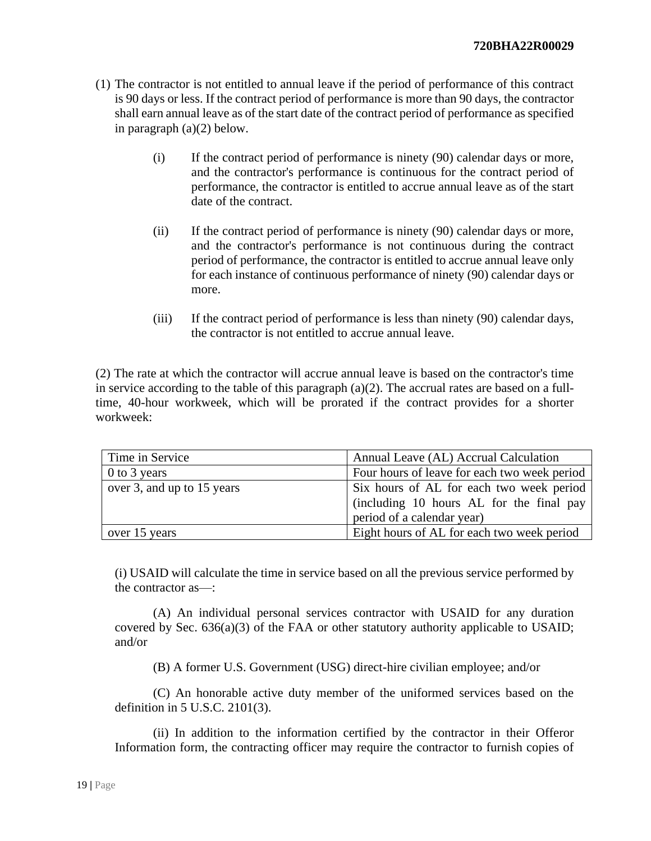- (1) The contractor is not entitled to annual leave if the period of performance of this contract is 90 days or less. If the contract period of performance is more than 90 days, the contractor shall earn annual leave as of the start date of the contract period of performance as specified in paragraph (a)(2) below.
	- (i) If the contract period of performance is ninety (90) calendar days or more, and the contractor's performance is continuous for the contract period of performance, the contractor is entitled to accrue annual leave as of the start date of the contract.
	- (ii) If the contract period of performance is ninety (90) calendar days or more, and the contractor's performance is not continuous during the contract period of performance, the contractor is entitled to accrue annual leave only for each instance of continuous performance of ninety (90) calendar days or more.
	- (iii) If the contract period of performance is less than ninety (90) calendar days, the contractor is not entitled to accrue annual leave.

(2) The rate at which the contractor will accrue annual leave is based on the contractor's time in service according to the table of this paragraph (a)(2). The accrual rates are based on a fulltime, 40-hour workweek, which will be prorated if the contract provides for a shorter workweek:

| Time in Service            | Annual Leave (AL) Accrual Calculation        |  |  |
|----------------------------|----------------------------------------------|--|--|
| 0 to 3 years               | Four hours of leave for each two week period |  |  |
| over 3, and up to 15 years | Six hours of AL for each two week period     |  |  |
|                            | (including 10 hours AL for the final pay     |  |  |
|                            | period of a calendar year)                   |  |  |
| over 15 years              | Eight hours of AL for each two week period   |  |  |

(i) USAID will calculate the time in service based on all the previous service performed by the contractor as—:

(A) An individual personal services contractor with USAID for any duration covered by Sec. 636(a)(3) of the FAA or other statutory authority applicable to USAID; and/or

(B) A former U.S. Government (USG) direct-hire civilian employee; and/or

(C) An honorable active duty member of the uniformed services based on the definition in 5 U.S.C. 2101(3).

(ii) In addition to the information certified by the contractor in their Offeror Information form, the contracting officer may require the contractor to furnish copies of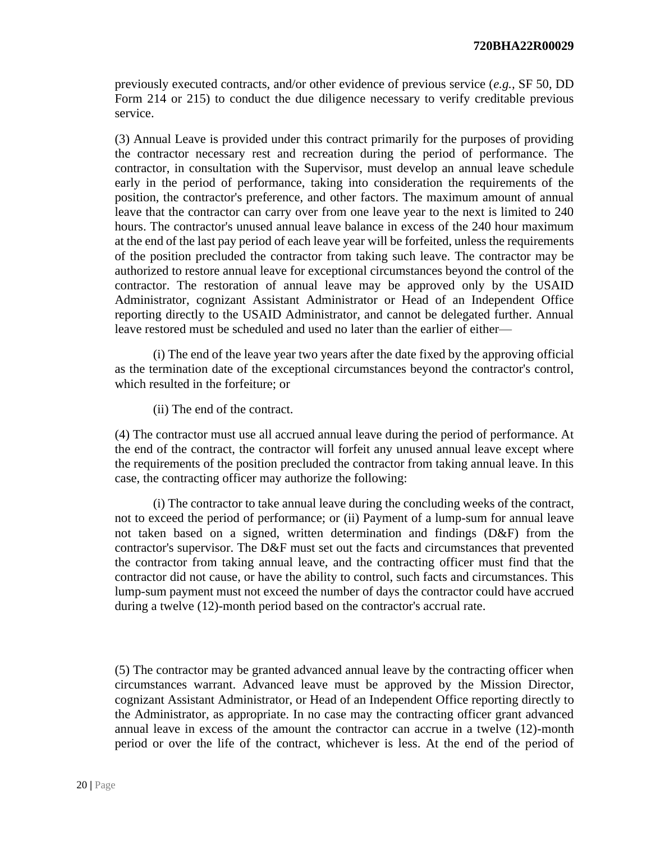previously executed contracts, and/or other evidence of previous service (*e.g.,* SF 50, DD Form 214 or 215) to conduct the due diligence necessary to verify creditable previous service.

(3) Annual Leave is provided under this contract primarily for the purposes of providing the contractor necessary rest and recreation during the period of performance. The contractor, in consultation with the Supervisor, must develop an annual leave schedule early in the period of performance, taking into consideration the requirements of the position, the contractor's preference, and other factors. The maximum amount of annual leave that the contractor can carry over from one leave year to the next is limited to 240 hours. The contractor's unused annual leave balance in excess of the 240 hour maximum at the end of the last pay period of each leave year will be forfeited, unless the requirements of the position precluded the contractor from taking such leave. The contractor may be authorized to restore annual leave for exceptional circumstances beyond the control of the contractor. The restoration of annual leave may be approved only by the USAID Administrator, cognizant Assistant Administrator or Head of an Independent Office reporting directly to the USAID Administrator, and cannot be delegated further. Annual leave restored must be scheduled and used no later than the earlier of either—

(i) The end of the leave year two years after the date fixed by the approving official as the termination date of the exceptional circumstances beyond the contractor's control, which resulted in the forfeiture; or

(ii) The end of the contract.

(4) The contractor must use all accrued annual leave during the period of performance. At the end of the contract, the contractor will forfeit any unused annual leave except where the requirements of the position precluded the contractor from taking annual leave. In this case, the contracting officer may authorize the following:

(i) The contractor to take annual leave during the concluding weeks of the contract, not to exceed the period of performance; or (ii) Payment of a lump-sum for annual leave not taken based on a signed, written determination and findings (D&F) from the contractor's supervisor. The D&F must set out the facts and circumstances that prevented the contractor from taking annual leave, and the contracting officer must find that the contractor did not cause, or have the ability to control, such facts and circumstances. This lump-sum payment must not exceed the number of days the contractor could have accrued during a twelve (12)-month period based on the contractor's accrual rate.

(5) The contractor may be granted advanced annual leave by the contracting officer when circumstances warrant. Advanced leave must be approved by the Mission Director, cognizant Assistant Administrator, or Head of an Independent Office reporting directly to the Administrator, as appropriate. In no case may the contracting officer grant advanced annual leave in excess of the amount the contractor can accrue in a twelve (12)-month period or over the life of the contract, whichever is less. At the end of the period of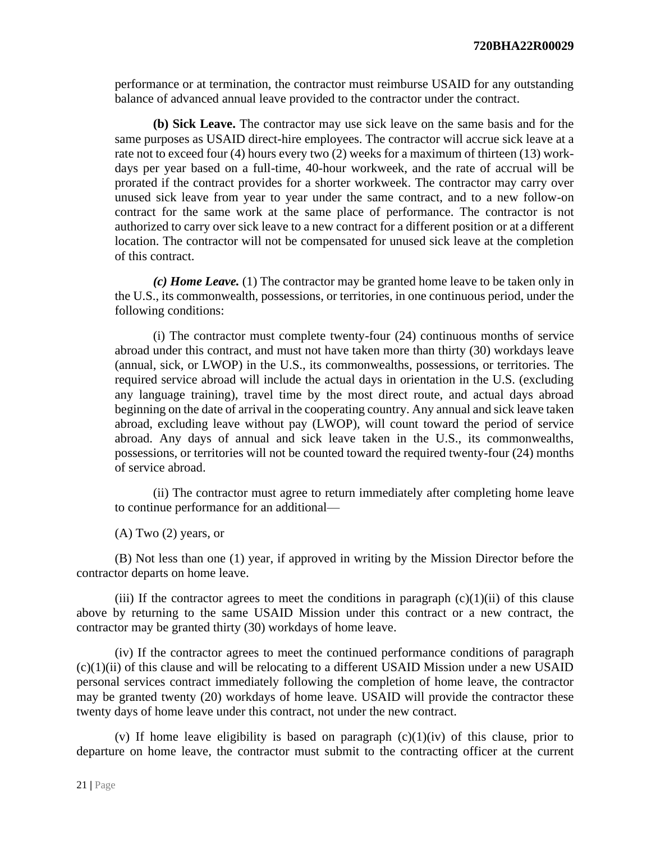performance or at termination, the contractor must reimburse USAID for any outstanding balance of advanced annual leave provided to the contractor under the contract.

**(b) Sick Leave.** The contractor may use sick leave on the same basis and for the same purposes as USAID direct-hire employees. The contractor will accrue sick leave at a rate not to exceed four (4) hours every two (2) weeks for a maximum of thirteen (13) workdays per year based on a full-time, 40-hour workweek, and the rate of accrual will be prorated if the contract provides for a shorter workweek. The contractor may carry over unused sick leave from year to year under the same contract, and to a new follow-on contract for the same work at the same place of performance. The contractor is not authorized to carry over sick leave to a new contract for a different position or at a different location. The contractor will not be compensated for unused sick leave at the completion of this contract.

*(c) Home Leave.* (1) The contractor may be granted home leave to be taken only in the U.S., its commonwealth, possessions, or territories, in one continuous period, under the following conditions:

(i) The contractor must complete twenty-four (24) continuous months of service abroad under this contract, and must not have taken more than thirty (30) workdays leave (annual, sick, or LWOP) in the U.S., its commonwealths, possessions, or territories. The required service abroad will include the actual days in orientation in the U.S. (excluding any language training), travel time by the most direct route, and actual days abroad beginning on the date of arrival in the cooperating country. Any annual and sick leave taken abroad, excluding leave without pay (LWOP), will count toward the period of service abroad. Any days of annual and sick leave taken in the U.S., its commonwealths, possessions, or territories will not be counted toward the required twenty-four (24) months of service abroad.

(ii) The contractor must agree to return immediately after completing home leave to continue performance for an additional—

 $(A)$  Two  $(2)$  years, or

(B) Not less than one (1) year, if approved in writing by the Mission Director before the contractor departs on home leave.

(iii) If the contractor agrees to meet the conditions in paragraph  $(c)(1)(ii)$  of this clause above by returning to the same USAID Mission under this contract or a new contract, the contractor may be granted thirty (30) workdays of home leave.

(iv) If the contractor agrees to meet the continued performance conditions of paragraph (c)(1)(ii) of this clause and will be relocating to a different USAID Mission under a new USAID personal services contract immediately following the completion of home leave, the contractor may be granted twenty (20) workdays of home leave. USAID will provide the contractor these twenty days of home leave under this contract, not under the new contract.

(v) If home leave eligibility is based on paragraph  $(c)(1)(iv)$  of this clause, prior to departure on home leave, the contractor must submit to the contracting officer at the current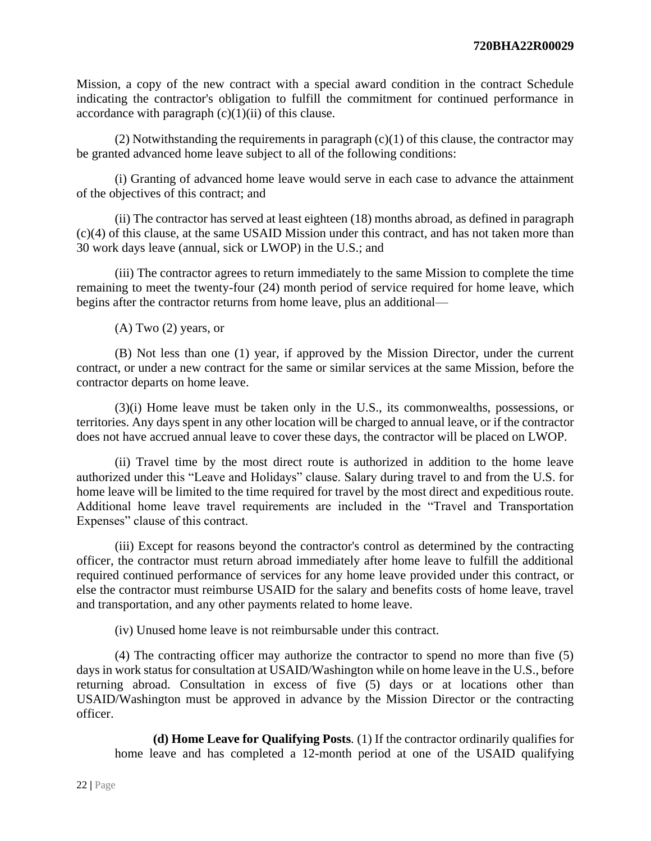Mission, a copy of the new contract with a special award condition in the contract Schedule indicating the contractor's obligation to fulfill the commitment for continued performance in accordance with paragraph  $(c)(1)(ii)$  of this clause.

(2) Notwithstanding the requirements in paragraph  $(c)(1)$  of this clause, the contractor may be granted advanced home leave subject to all of the following conditions:

(i) Granting of advanced home leave would serve in each case to advance the attainment of the objectives of this contract; and

(ii) The contractor has served at least eighteen (18) months abroad, as defined in paragraph (c)(4) of this clause, at the same USAID Mission under this contract, and has not taken more than 30 work days leave (annual, sick or LWOP) in the U.S.; and

(iii) The contractor agrees to return immediately to the same Mission to complete the time remaining to meet the twenty-four (24) month period of service required for home leave, which begins after the contractor returns from home leave, plus an additional—

(A) Two (2) years, or

(B) Not less than one (1) year, if approved by the Mission Director, under the current contract, or under a new contract for the same or similar services at the same Mission, before the contractor departs on home leave.

(3)(i) Home leave must be taken only in the U.S., its commonwealths, possessions, or territories. Any days spent in any other location will be charged to annual leave, or if the contractor does not have accrued annual leave to cover these days, the contractor will be placed on LWOP.

(ii) Travel time by the most direct route is authorized in addition to the home leave authorized under this "Leave and Holidays" clause. Salary during travel to and from the U.S. for home leave will be limited to the time required for travel by the most direct and expeditious route. Additional home leave travel requirements are included in the "Travel and Transportation Expenses" clause of this contract.

(iii) Except for reasons beyond the contractor's control as determined by the contracting officer, the contractor must return abroad immediately after home leave to fulfill the additional required continued performance of services for any home leave provided under this contract, or else the contractor must reimburse USAID for the salary and benefits costs of home leave, travel and transportation, and any other payments related to home leave.

(iv) Unused home leave is not reimbursable under this contract.

(4) The contracting officer may authorize the contractor to spend no more than five (5) days in work status for consultation at USAID/Washington while on home leave in the U.S., before returning abroad. Consultation in excess of five (5) days or at locations other than USAID/Washington must be approved in advance by the Mission Director or the contracting officer.

**(d) Home Leave for Qualifying Posts***.* (1) If the contractor ordinarily qualifies for home leave and has completed a 12-month period at one of the USAID qualifying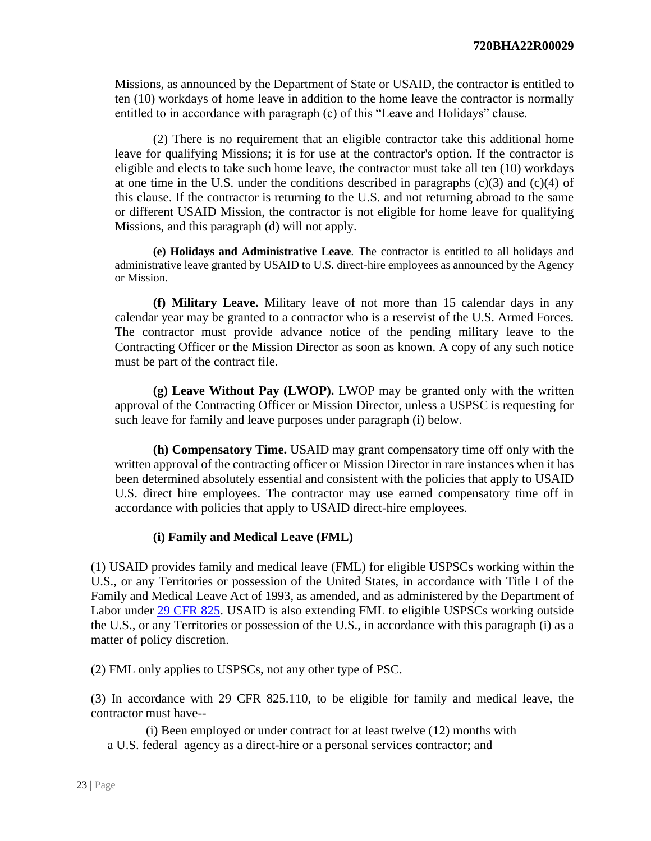Missions, as announced by the Department of State or USAID, the contractor is entitled to ten (10) workdays of home leave in addition to the home leave the contractor is normally entitled to in accordance with paragraph (c) of this "Leave and Holidays" clause.

(2) There is no requirement that an eligible contractor take this additional home leave for qualifying Missions; it is for use at the contractor's option. If the contractor is eligible and elects to take such home leave, the contractor must take all ten (10) workdays at one time in the U.S. under the conditions described in paragraphs  $(c)(3)$  and  $(c)(4)$  of this clause. If the contractor is returning to the U.S. and not returning abroad to the same or different USAID Mission, the contractor is not eligible for home leave for qualifying Missions, and this paragraph (d) will not apply.

**(e) Holidays and Administrative Leave***.* The contractor is entitled to all holidays and administrative leave granted by USAID to U.S. direct-hire employees as announced by the Agency or Mission.

**(f) Military Leave.** Military leave of not more than 15 calendar days in any calendar year may be granted to a contractor who is a reservist of the U.S. Armed Forces. The contractor must provide advance notice of the pending military leave to the Contracting Officer or the Mission Director as soon as known. A copy of any such notice must be part of the contract file.

**(g) Leave Without Pay (LWOP).** LWOP may be granted only with the written approval of the Contracting Officer or Mission Director, unless a USPSC is requesting for such leave for family and leave purposes under paragraph (i) below.

**(h) Compensatory Time.** USAID may grant compensatory time off only with the written approval of the contracting officer or Mission Director in rare instances when it has been determined absolutely essential and consistent with the policies that apply to USAID U.S. direct hire employees. The contractor may use earned compensatory time off in accordance with policies that apply to USAID direct-hire employees.

# **(i) Family and Medical Leave (FML)**

(1) USAID provides family and medical leave (FML) for eligible USPSCs working within the U.S., or any Territories or possession of the United States, in accordance with Title I of the Family and Medical Leave Act of 1993, as amended, and as administered by the Department of Labor under [29 CFR 825.](https://www.ecfr.gov/cgi-bin/text-idx?SID=db0243f608afdb03943b0635a819c860&mc=true&tpl=/ecfrbrowse/Title29/29cfr825_main_02.tpl) USAID is also extending FML to eligible USPSCs working outside the U.S., or any Territories or possession of the U.S., in accordance with this paragraph (i) as a matter of policy discretion.

(2) FML only applies to USPSCs, not any other type of PSC.

(3) In accordance with 29 CFR 825.110, to be eligible for family and medical leave, the contractor must have--

(i) Been employed or under contract for at least twelve (12) months with a U.S. federal agency as a direct-hire or a personal services contractor; and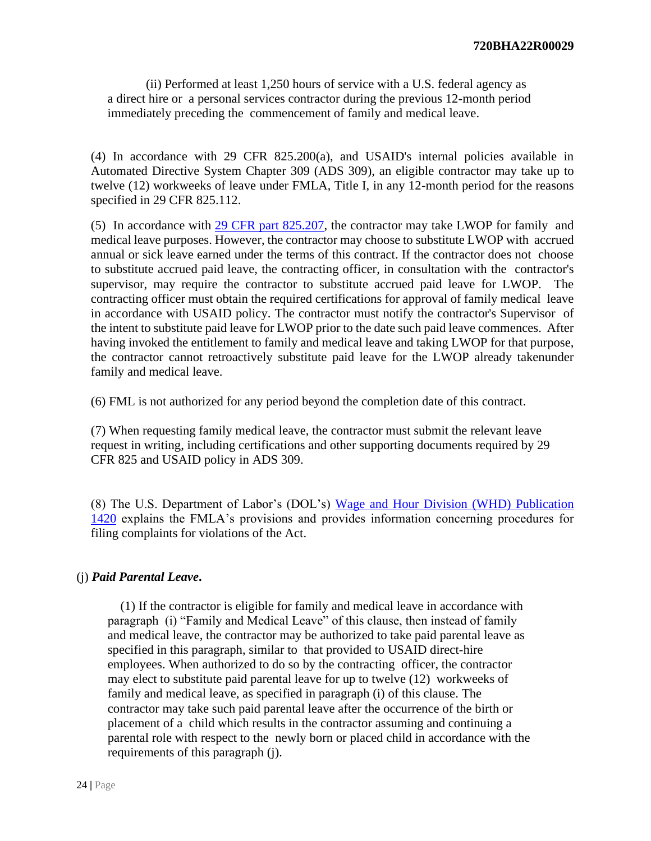(ii) Performed at least 1,250 hours of service with a U.S. federal agency as a direct hire or a personal services contractor during the previous 12-month period immediately preceding the commencement of family and medical leave.

(4) In accordance with 29 CFR 825.200(a), and USAID's internal policies available in Automated Directive System Chapter 309 (ADS 309), an eligible contractor may take up to twelve (12) workweeks of leave under FMLA, Title I, in any 12-month period for the reasons specified in 29 CFR 825.112.

(5) In accordance with 29 CFR part 825.207, the contractor may take LWOP for family and medical leave purposes. However, the contractor may choose to substitute LWOP with accrued annual or sick leave earned under the terms of this contract. If the contractor does not choose to substitute accrued paid leave, the contracting officer, in consultation with the contractor's supervisor, may require the contractor to substitute accrued paid leave for LWOP. The contracting officer must obtain the required certifications for approval of family medical leave in accordance with USAID policy. The contractor must notify the contractor's Supervisor of the intent to substitute paid leave for LWOP prior to the date such paid leave commences. After having invoked the entitlement to family and medical leave and taking LWOP for that purpose, the contractor cannot retroactively substitute paid leave for the LWOP already takenunder family and medical leave.

(6) FML is not authorized for any period beyond the completion date of this contract.

(7) When requesting family medical leave, the contractor must submit the relevant leave request in writing, including certifications and other supporting documents required by 29 CFR 825 and USAID policy in ADS 309.

(8) The U.S. Department of Labor's (DOL's) [Wage and Hour Division \(WHD\) Publication](https://www.dol.gov/whd/regs/compliance/posters/fmlaen.pdf)  [1420](https://www.dol.gov/whd/regs/compliance/posters/fmlaen.pdf) explains the FMLA's provisions and provides information concerning procedures for filing complaints for violations of the Act.

#### (j) *Paid Parental Leave***.**

 (1) If the contractor is eligible for family and medical leave in accordance with paragraph (i) "Family and Medical Leave" of this clause, then instead of family and medical leave, the contractor may be authorized to take paid parental leave as specified in this paragraph, similar to that provided to USAID direct-hire employees. When authorized to do so by the contracting officer, the contractor may elect to substitute paid parental leave for up to twelve (12) workweeks of family and medical leave, as specified in paragraph (i) of this clause. The contractor may take such paid parental leave after the occurrence of the birth or placement of a child which results in the contractor assuming and continuing a parental role with respect to the newly born or placed child in accordance with the requirements of this paragraph (j).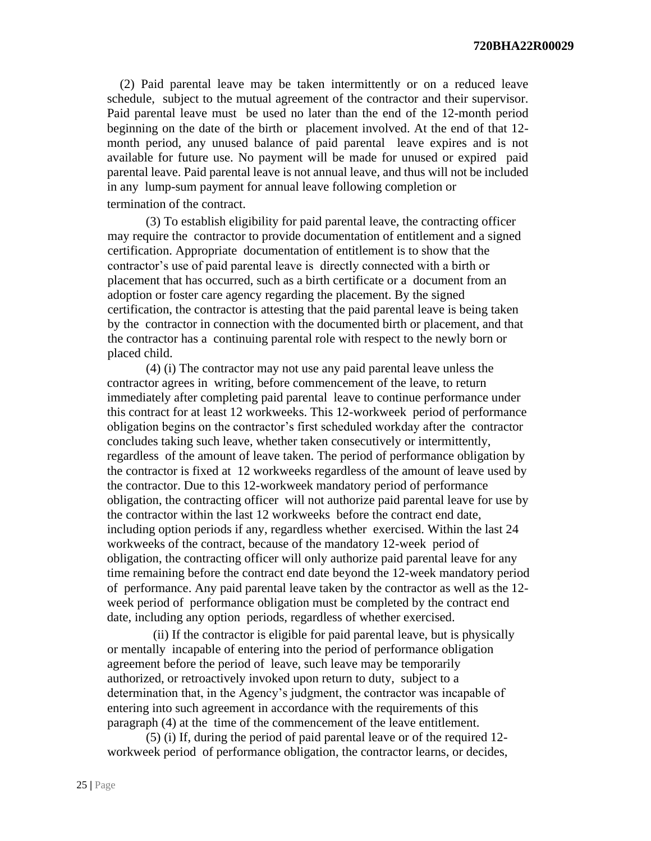**720BHA22R00029**

 (2) Paid parental leave may be taken intermittently or on a reduced leave schedule, subject to the mutual agreement of the contractor and their supervisor. Paid parental leave must be used no later than the end of the 12-month period beginning on the date of the birth or placement involved. At the end of that 12 month period, any unused balance of paid parental leave expires and is not available for future use. No payment will be made for unused or expired paid parental leave. Paid parental leave is not annual leave, and thus will not be included in any lump-sum payment for annual leave following completion or termination of the contract.

(3) To establish eligibility for paid parental leave, the contracting officer may require the contractor to provide documentation of entitlement and a signed certification. Appropriate documentation of entitlement is to show that the contractor's use of paid parental leave is directly connected with a birth or placement that has occurred, such as a birth certificate or a document from an adoption or foster care agency regarding the placement. By the signed certification, the contractor is attesting that the paid parental leave is being taken by the contractor in connection with the documented birth or placement, and that the contractor has a continuing parental role with respect to the newly born or placed child.

(4) (i) The contractor may not use any paid parental leave unless the contractor agrees in writing, before commencement of the leave, to return immediately after completing paid parental leave to continue performance under this contract for at least 12 workweeks. This 12-workweek period of performance obligation begins on the contractor's first scheduled workday after the contractor concludes taking such leave, whether taken consecutively or intermittently, regardless of the amount of leave taken. The period of performance obligation by the contractor is fixed at 12 workweeks regardless of the amount of leave used by the contractor. Due to this 12-workweek mandatory period of performance obligation, the contracting officer will not authorize paid parental leave for use by the contractor within the last 12 workweeks before the contract end date, including option periods if any, regardless whether exercised. Within the last 24 workweeks of the contract, because of the mandatory 12-week period of obligation, the contracting officer will only authorize paid parental leave for any time remaining before the contract end date beyond the 12-week mandatory period of performance. Any paid parental leave taken by the contractor as well as the 12 week period of performance obligation must be completed by the contract end date, including any option periods, regardless of whether exercised.

(ii) If the contractor is eligible for paid parental leave, but is physically or mentally incapable of entering into the period of performance obligation agreement before the period of leave, such leave may be temporarily authorized, or retroactively invoked upon return to duty, subject to a determination that, in the Agency's judgment, the contractor was incapable of entering into such agreement in accordance with the requirements of this paragraph (4) at the time of the commencement of the leave entitlement.

(5) (i) If, during the period of paid parental leave or of the required 12 workweek period of performance obligation, the contractor learns, or decides,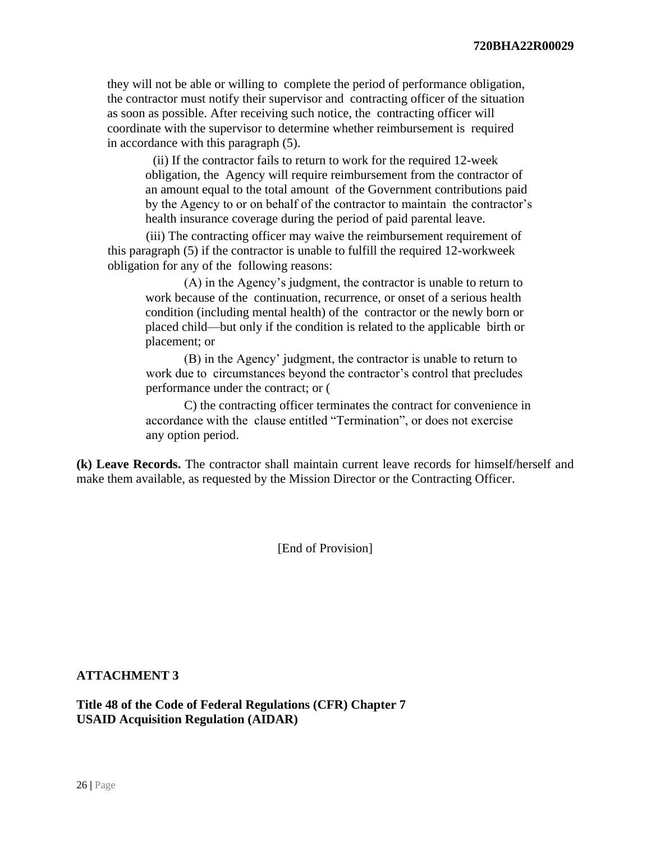they will not be able or willing to complete the period of performance obligation, the contractor must notify their supervisor and contracting officer of the situation as soon as possible. After receiving such notice, the contracting officer will coordinate with the supervisor to determine whether reimbursement is required in accordance with this paragraph (5).

(ii) If the contractor fails to return to work for the required 12-week obligation, the Agency will require reimbursement from the contractor of an amount equal to the total amount of the Government contributions paid by the Agency to or on behalf of the contractor to maintain the contractor's health insurance coverage during the period of paid parental leave.

(iii) The contracting officer may waive the reimbursement requirement of this paragraph (5) if the contractor is unable to fulfill the required 12-workweek obligation for any of the following reasons:

(A) in the Agency's judgment, the contractor is unable to return to work because of the continuation, recurrence, or onset of a serious health condition (including mental health) of the contractor or the newly born or placed child—but only if the condition is related to the applicable birth or placement; or

(B) in the Agency' judgment, the contractor is unable to return to work due to circumstances beyond the contractor's control that precludes performance under the contract; or (

C) the contracting officer terminates the contract for convenience in accordance with the clause entitled "Termination", or does not exercise any option period.

**(k) Leave Records.** The contractor shall maintain current leave records for himself/herself and make them available, as requested by the Mission Director or the Contracting Officer.

[End of Provision]

### **ATTACHMENT 3**

**Title 48 of the Code of Federal Regulations (CFR) Chapter 7 USAID Acquisition Regulation (AIDAR)**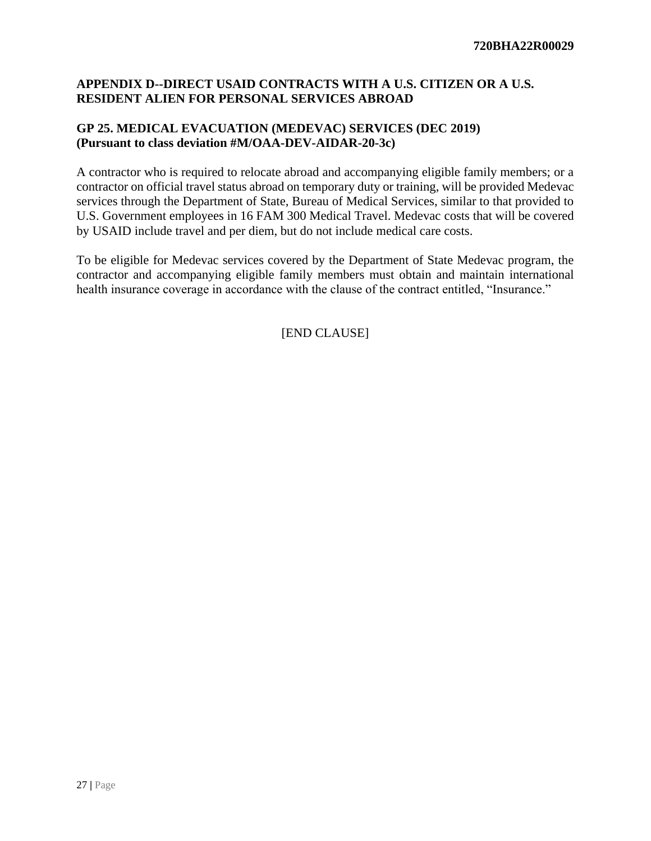## **APPENDIX D--DIRECT USAID CONTRACTS WITH A U.S. CITIZEN OR A U.S. RESIDENT ALIEN FOR PERSONAL SERVICES ABROAD**

## **GP 25. MEDICAL EVACUATION (MEDEVAC) SERVICES (DEC 2019) (Pursuant to class deviation #M/OAA-DEV-AIDAR-20-3c)**

A contractor who is required to relocate abroad and accompanying eligible family members; or a contractor on official travel status abroad on temporary duty or training, will be provided Medevac services through the Department of State, Bureau of Medical Services, similar to that provided to U.S. Government employees in 16 FAM 300 Medical Travel. Medevac costs that will be covered by USAID include travel and per diem, but do not include medical care costs.

To be eligible for Medevac services covered by the Department of State Medevac program, the contractor and accompanying eligible family members must obtain and maintain international health insurance coverage in accordance with the clause of the contract entitled, "Insurance."

[END CLAUSE]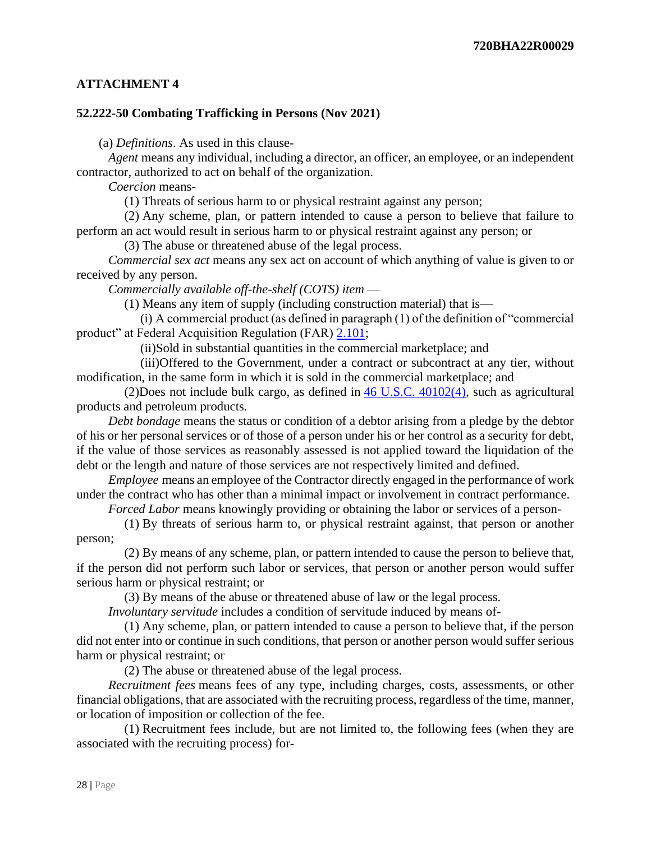## **ATTACHMENT 4**

#### **52.222-50 Combating Trafficking in Persons (Nov 2021)**

(a) *Definitions*. As used in this clause-

 *Agent* means any individual, including a director, an officer, an employee, or an independent contractor, authorized to act on behalf of the organization.

*Coercion* means-

(1) Threats of serious harm to or physical restraint against any person;

 (2) Any scheme, plan, or pattern intended to cause a person to believe that failure to perform an act would result in serious harm to or physical restraint against any person; or

(3) The abuse or threatened abuse of the legal process.

 *Commercial sex act* means any sex act on account of which anything of value is given to or received by any person.

*Commercially available off-the-shelf (COTS) item* —

(1) Means any item of supply (including construction material) that is—

 (i) A commercial product (as defined in paragraph (1) of the definition of "commercial product" at Federal Acquisition Regulation (FAR) [2.101;](https://www.acquisition.gov/far/2.101#FAR_2_101)

(ii)Sold in substantial quantities in the commercial marketplace; and

 (iii)Offered to the Government, under a contract or subcontract at any tier, without modification, in the same form in which it is sold in the commercial marketplace; and

 (2)Does not include bulk cargo, as defined in [46 U.S.C. 40102\(4\),](http://uscode.house.gov/browse.xhtml;jsessionid=114A3287C7B3359E597506A31FC855B3) such as agricultural products and petroleum products.

 *Debt bondage* means the status or condition of a debtor arising from a pledge by the debtor of his or her personal services or of those of a person under his or her control as a security for debt, if the value of those services as reasonably assessed is not applied toward the liquidation of the debt or the length and nature of those services are not respectively limited and defined.

 *Employee* means an employee of the Contractor directly engaged in the performance of work under the contract who has other than a minimal impact or involvement in contract performance.

*Forced Labor* means knowingly providing or obtaining the labor or services of a person-

 (1) By threats of serious harm to, or physical restraint against, that person or another person;

 (2) By means of any scheme, plan, or pattern intended to cause the person to believe that, if the person did not perform such labor or services, that person or another person would suffer serious harm or physical restraint; or

(3) By means of the abuse or threatened abuse of law or the legal process.

*Involuntary servitude* includes a condition of servitude induced by means of-

 (1) Any scheme, plan, or pattern intended to cause a person to believe that, if the person did not enter into or continue in such conditions, that person or another person would suffer serious harm or physical restraint; or

(2) The abuse or threatened abuse of the legal process.

 *Recruitment fees* means fees of any type, including charges, costs, assessments, or other financial obligations, that are associated with the recruiting process, regardless of the time, manner, or location of imposition or collection of the fee.

 (1) Recruitment fees include, but are not limited to, the following fees (when they are associated with the recruiting process) for-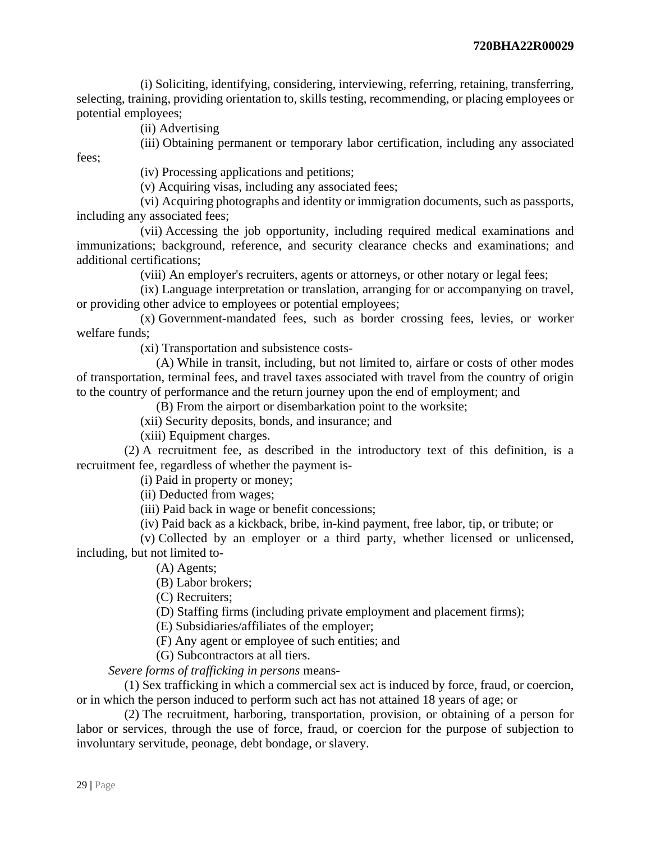(i) Soliciting, identifying, considering, interviewing, referring, retaining, transferring, selecting, training, providing orientation to, skills testing, recommending, or placing employees or potential employees;

(ii) Advertising

fees;

(iii) Obtaining permanent or temporary labor certification, including any associated

(iv) Processing applications and petitions;

(v) Acquiring visas, including any associated fees;

 (vi) Acquiring photographs and identity or immigration documents, such as passports, including any associated fees;

 (vii) Accessing the job opportunity, including required medical examinations and immunizations; background, reference, and security clearance checks and examinations; and additional certifications;

(viii) An employer's recruiters, agents or attorneys, or other notary or legal fees;

 (ix) Language interpretation or translation, arranging for or accompanying on travel, or providing other advice to employees or potential employees;

 (x) Government-mandated fees, such as border crossing fees, levies, or worker welfare funds;

(xi) Transportation and subsistence costs-

 (A) While in transit, including, but not limited to, airfare or costs of other modes of transportation, terminal fees, and travel taxes associated with travel from the country of origin to the country of performance and the return journey upon the end of employment; and

(B) From the airport or disembarkation point to the worksite;

(xii) Security deposits, bonds, and insurance; and

(xiii) Equipment charges.

 (2) A recruitment fee, as described in the introductory text of this definition, is a recruitment fee, regardless of whether the payment is-

(i) Paid in property or money;

(ii) Deducted from wages;

(iii) Paid back in wage or benefit concessions;

(iv) Paid back as a kickback, bribe, in-kind payment, free labor, tip, or tribute; or

 (v) Collected by an employer or a third party, whether licensed or unlicensed, including, but not limited to-

(A) Agents;

(B) Labor brokers;

(C) Recruiters;

(D) Staffing firms (including private employment and placement firms);

(E) Subsidiaries/affiliates of the employer;

(F) Any agent or employee of such entities; and

(G) Subcontractors at all tiers.

*Severe forms of trafficking in persons* means-

 (1) Sex trafficking in which a commercial sex act is induced by force, fraud, or coercion, or in which the person induced to perform such act has not attained 18 years of age; or

 (2) The recruitment, harboring, transportation, provision, or obtaining of a person for labor or services, through the use of force, fraud, or coercion for the purpose of subjection to involuntary servitude, peonage, debt bondage, or slavery.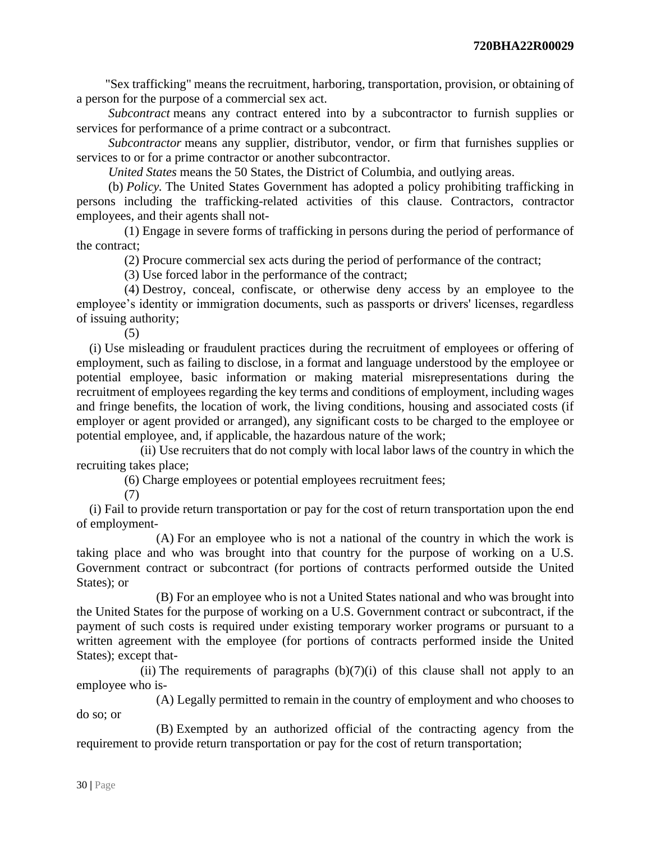"Sex trafficking" means the recruitment, harboring, transportation, provision, or obtaining of a person for the purpose of a commercial sex act.

 *Subcontract* means any contract entered into by a subcontractor to furnish supplies or services for performance of a prime contract or a subcontract.

 *Subcontractor* means any supplier, distributor, vendor, or firm that furnishes supplies or services to or for a prime contractor or another subcontractor.

*United States* means the 50 States, the District of Columbia, and outlying areas.

 (b) *Policy.* The United States Government has adopted a policy prohibiting trafficking in persons including the trafficking-related activities of this clause. Contractors, contractor employees, and their agents shall not-

 (1) Engage in severe forms of trafficking in persons during the period of performance of the contract;

(2) Procure commercial sex acts during the period of performance of the contract;

(3) Use forced labor in the performance of the contract;

 (4) Destroy, conceal, confiscate, or otherwise deny access by an employee to the employee's identity or immigration documents, such as passports or drivers' licenses, regardless of issuing authority;

(5)

(i) Use misleading or fraudulent practices during the recruitment of employees or offering of employment, such as failing to disclose, in a format and language understood by the employee or potential employee, basic information or making material misrepresentations during the recruitment of employees regarding the key terms and conditions of employment, including wages and fringe benefits, the location of work, the living conditions, housing and associated costs (if employer or agent provided or arranged), any significant costs to be charged to the employee or potential employee, and, if applicable, the hazardous nature of the work;

 (ii) Use recruiters that do not comply with local labor laws of the country in which the recruiting takes place;

(6) Charge employees or potential employees recruitment fees;

(7)

(i) Fail to provide return transportation or pay for the cost of return transportation upon the end of employment-

 (A) For an employee who is not a national of the country in which the work is taking place and who was brought into that country for the purpose of working on a U.S. Government contract or subcontract (for portions of contracts performed outside the United States); or

 (B) For an employee who is not a United States national and who was brought into the United States for the purpose of working on a U.S. Government contract or subcontract, if the payment of such costs is required under existing temporary worker programs or pursuant to a written agreement with the employee (for portions of contracts performed inside the United States); except that-

(ii) The requirements of paragraphs  $(b)(7)(i)$  of this clause shall not apply to an employee who is-

 (A) Legally permitted to remain in the country of employment and who chooses to do so; or

 (B) Exempted by an authorized official of the contracting agency from the requirement to provide return transportation or pay for the cost of return transportation;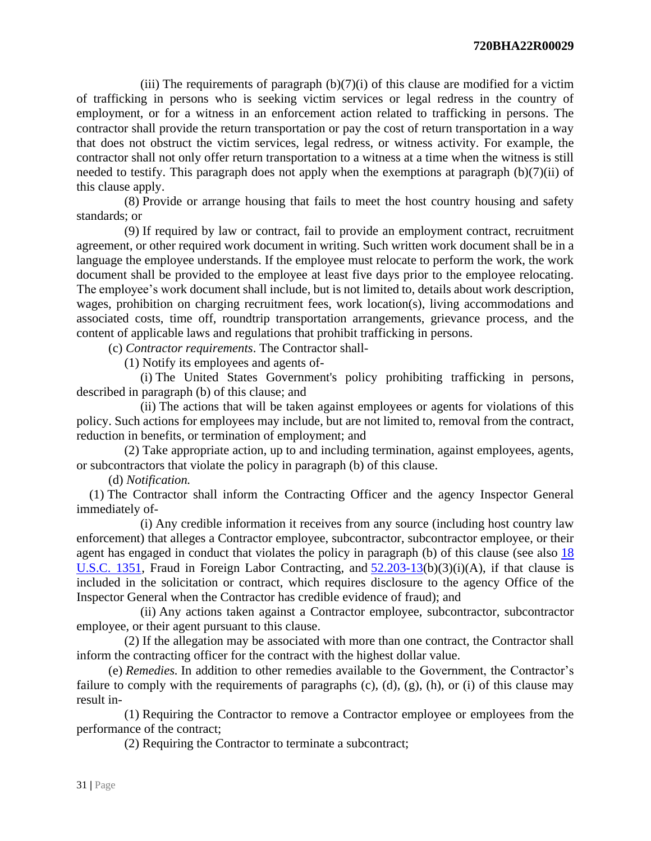(iii) The requirements of paragraph  $(b)(7)(i)$  of this clause are modified for a victim of trafficking in persons who is seeking victim services or legal redress in the country of employment, or for a witness in an enforcement action related to trafficking in persons. The contractor shall provide the return transportation or pay the cost of return transportation in a way that does not obstruct the victim services, legal redress, or witness activity. For example, the contractor shall not only offer return transportation to a witness at a time when the witness is still needed to testify. This paragraph does not apply when the exemptions at paragraph (b)(7)(ii) of this clause apply.

 (8) Provide or arrange housing that fails to meet the host country housing and safety standards; or

 (9) If required by law or contract, fail to provide an employment contract, recruitment agreement, or other required work document in writing. Such written work document shall be in a language the employee understands. If the employee must relocate to perform the work, the work document shall be provided to the employee at least five days prior to the employee relocating. The employee's work document shall include, but is not limited to, details about work description, wages, prohibition on charging recruitment fees, work location(s), living accommodations and associated costs, time off, roundtrip transportation arrangements, grievance process, and the content of applicable laws and regulations that prohibit trafficking in persons.

(c) *Contractor requirements*. The Contractor shall-

(1) Notify its employees and agents of-

 (i) The United States Government's policy prohibiting trafficking in persons, described in paragraph (b) of this clause; and

 (ii) The actions that will be taken against employees or agents for violations of this policy. Such actions for employees may include, but are not limited to, removal from the contract, reduction in benefits, or termination of employment; and

 (2) Take appropriate action, up to and including termination, against employees, agents, or subcontractors that violate the policy in paragraph (b) of this clause.

(d) *Notification.*

(1) The Contractor shall inform the Contracting Officer and the agency Inspector General immediately of-

 (i) Any credible information it receives from any source (including host country law enforcement) that alleges a Contractor employee, subcontractor, subcontractor employee, or their agent has engaged in conduct that violates the policy in paragraph (b) of this clause (see also [18](http://uscode.house.gov/browse.xhtml;jsessionid=114A3287C7B3359E597506A31FC855B3)  [U.S.C. 1351,](http://uscode.house.gov/browse.xhtml;jsessionid=114A3287C7B3359E597506A31FC855B3) Fraud in Foreign Labor Contracting, and  $52.203-13(b)(3)(i)(A)$  $52.203-13(b)(3)(i)(A)$ , if that clause is included in the solicitation or contract, which requires disclosure to the agency Office of the Inspector General when the Contractor has credible evidence of fraud); and

 (ii) Any actions taken against a Contractor employee, subcontractor, subcontractor employee, or their agent pursuant to this clause.

 (2) If the allegation may be associated with more than one contract, the Contractor shall inform the contracting officer for the contract with the highest dollar value.

 (e) *Remedies.* In addition to other remedies available to the Government, the Contractor's failure to comply with the requirements of paragraphs  $(c)$ ,  $(d)$ ,  $(g)$ ,  $(h)$ , or  $(i)$  of this clause may result in-

 (1) Requiring the Contractor to remove a Contractor employee or employees from the performance of the contract;

(2) Requiring the Contractor to terminate a subcontract;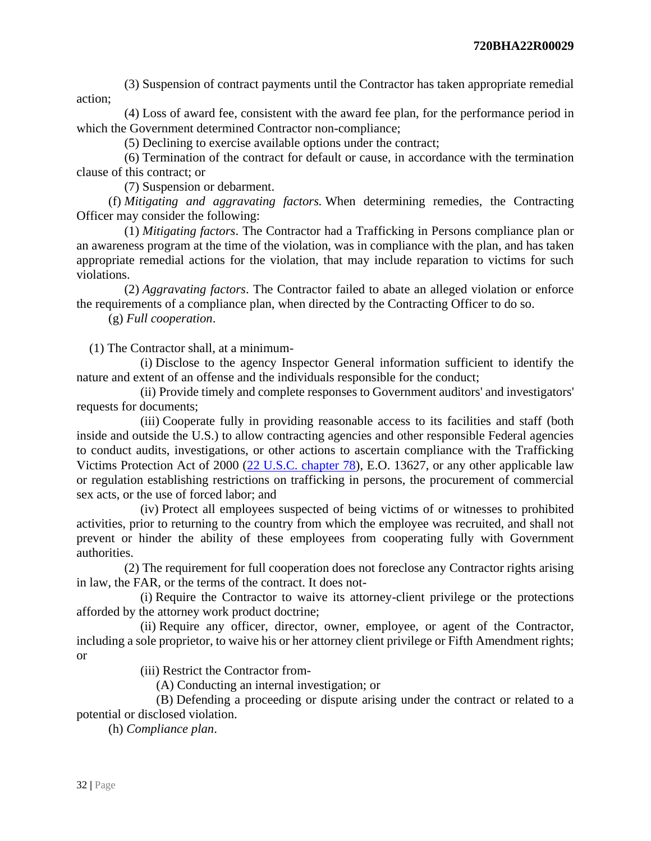(3) Suspension of contract payments until the Contractor has taken appropriate remedial action;

 (4) Loss of award fee, consistent with the award fee plan, for the performance period in which the Government determined Contractor non-compliance;

(5) Declining to exercise available options under the contract;

 (6) Termination of the contract for default or cause, in accordance with the termination clause of this contract; or

(7) Suspension or debarment.

 (f) *Mitigating and aggravating factors.* When determining remedies, the Contracting Officer may consider the following:

 (1) *Mitigating factors*. The Contractor had a Trafficking in Persons compliance plan or an awareness program at the time of the violation, was in compliance with the plan, and has taken appropriate remedial actions for the violation, that may include reparation to victims for such violations.

 (2) *Aggravating factors*. The Contractor failed to abate an alleged violation or enforce the requirements of a compliance plan, when directed by the Contracting Officer to do so.

(g) *Full cooperation*.

(1) The Contractor shall, at a minimum-

 (i) Disclose to the agency Inspector General information sufficient to identify the nature and extent of an offense and the individuals responsible for the conduct;

 (ii) Provide timely and complete responses to Government auditors' and investigators' requests for documents;

 (iii) Cooperate fully in providing reasonable access to its facilities and staff (both inside and outside the U.S.) to allow contracting agencies and other responsible Federal agencies to conduct audits, investigations, or other actions to ascertain compliance with the Trafficking Victims Protection Act of 2000 [\(22 U.S.C. chapter 78\)](http://uscode.house.gov/browse.xhtml;jsessionid=114A3287C7B3359E597506A31FC855B3), E.O. 13627, or any other applicable law or regulation establishing restrictions on trafficking in persons, the procurement of commercial sex acts, or the use of forced labor; and

 (iv) Protect all employees suspected of being victims of or witnesses to prohibited activities, prior to returning to the country from which the employee was recruited, and shall not prevent or hinder the ability of these employees from cooperating fully with Government authorities.

 (2) The requirement for full cooperation does not foreclose any Contractor rights arising in law, the FAR, or the terms of the contract. It does not-

 (i) Require the Contractor to waive its attorney-client privilege or the protections afforded by the attorney work product doctrine;

 (ii) Require any officer, director, owner, employee, or agent of the Contractor, including a sole proprietor, to waive his or her attorney client privilege or Fifth Amendment rights; or

(iii) Restrict the Contractor from-

(A) Conducting an internal investigation; or

 (B) Defending a proceeding or dispute arising under the contract or related to a potential or disclosed violation.

(h) *Compliance plan*.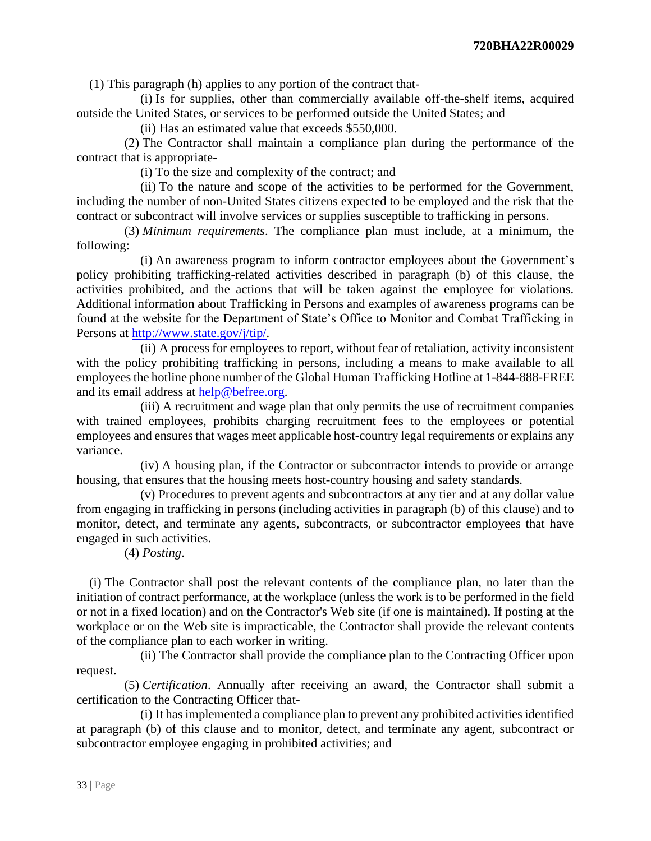(1) This paragraph (h) applies to any portion of the contract that-

 (i) Is for supplies, other than commercially available off-the-shelf items, acquired outside the United States, or services to be performed outside the United States; and

(ii) Has an estimated value that exceeds \$550,000.

 (2) The Contractor shall maintain a compliance plan during the performance of the contract that is appropriate-

(i) To the size and complexity of the contract; and

 (ii) To the nature and scope of the activities to be performed for the Government, including the number of non-United States citizens expected to be employed and the risk that the contract or subcontract will involve services or supplies susceptible to trafficking in persons.

 (3) *Minimum requirements*. The compliance plan must include, at a minimum, the following:

 (i) An awareness program to inform contractor employees about the Government's policy prohibiting trafficking-related activities described in paragraph (b) of this clause, the activities prohibited, and the actions that will be taken against the employee for violations. Additional information about Trafficking in Persons and examples of awareness programs can be found at the website for the Department of State's Office to Monitor and Combat Trafficking in Persons at [http://www.state.gov/j/tip/.](http://www.state.gov/j/tip/)

 (ii) A process for employees to report, without fear of retaliation, activity inconsistent with the policy prohibiting trafficking in persons, including a means to make available to all employees the hotline phone number of the Global Human Trafficking Hotline at 1-844-888-FREE and its email address at [help@befree.org.](mailto:help@befree.org)

 (iii) A recruitment and wage plan that only permits the use of recruitment companies with trained employees, prohibits charging recruitment fees to the employees or potential employees and ensures that wages meet applicable host-country legal requirements or explains any variance.

 (iv) A housing plan, if the Contractor or subcontractor intends to provide or arrange housing, that ensures that the housing meets host-country housing and safety standards.

 (v) Procedures to prevent agents and subcontractors at any tier and at any dollar value from engaging in trafficking in persons (including activities in paragraph (b) of this clause) and to monitor, detect, and terminate any agents, subcontracts, or subcontractor employees that have engaged in such activities.

(4) *Posting*.

(i) The Contractor shall post the relevant contents of the compliance plan, no later than the initiation of contract performance, at the workplace (unless the work is to be performed in the field or not in a fixed location) and on the Contractor's Web site (if one is maintained). If posting at the workplace or on the Web site is impracticable, the Contractor shall provide the relevant contents of the compliance plan to each worker in writing.

 (ii) The Contractor shall provide the compliance plan to the Contracting Officer upon request.

 (5) *Certification*. Annually after receiving an award, the Contractor shall submit a certification to the Contracting Officer that-

 (i) It has implemented a compliance plan to prevent any prohibited activities identified at paragraph (b) of this clause and to monitor, detect, and terminate any agent, subcontract or subcontractor employee engaging in prohibited activities; and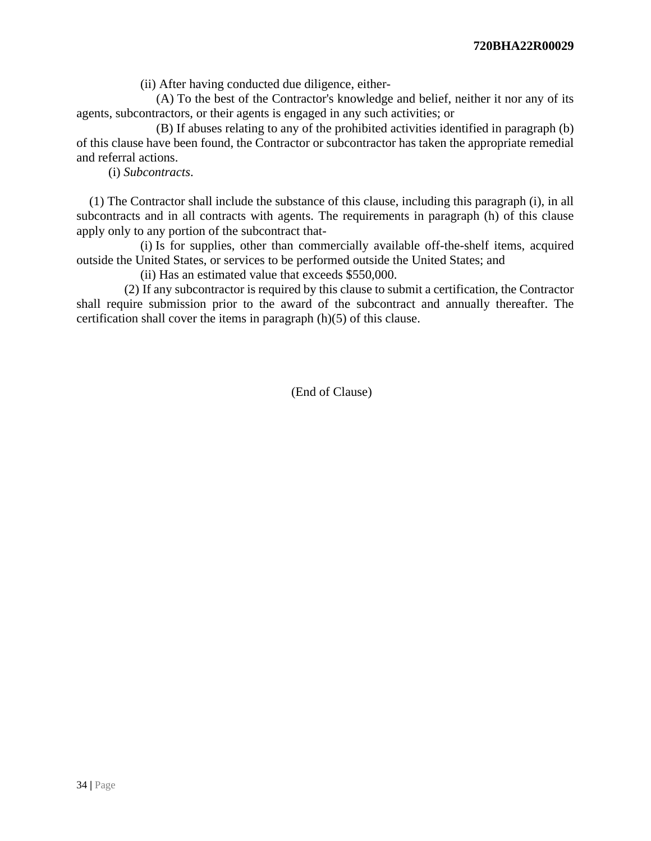(ii) After having conducted due diligence, either-

 (A) To the best of the Contractor's knowledge and belief, neither it nor any of its agents, subcontractors, or their agents is engaged in any such activities; or

 (B) If abuses relating to any of the prohibited activities identified in paragraph (b) of this clause have been found, the Contractor or subcontractor has taken the appropriate remedial and referral actions.

(i) *Subcontracts*.

(1) The Contractor shall include the substance of this clause, including this paragraph (i), in all subcontracts and in all contracts with agents. The requirements in paragraph (h) of this clause apply only to any portion of the subcontract that-

 (i) Is for supplies, other than commercially available off-the-shelf items, acquired outside the United States, or services to be performed outside the United States; and

(ii) Has an estimated value that exceeds \$550,000.

 (2) If any subcontractor is required by this clause to submit a certification, the Contractor shall require submission prior to the award of the subcontract and annually thereafter. The certification shall cover the items in paragraph (h)(5) of this clause.

(End of Clause)